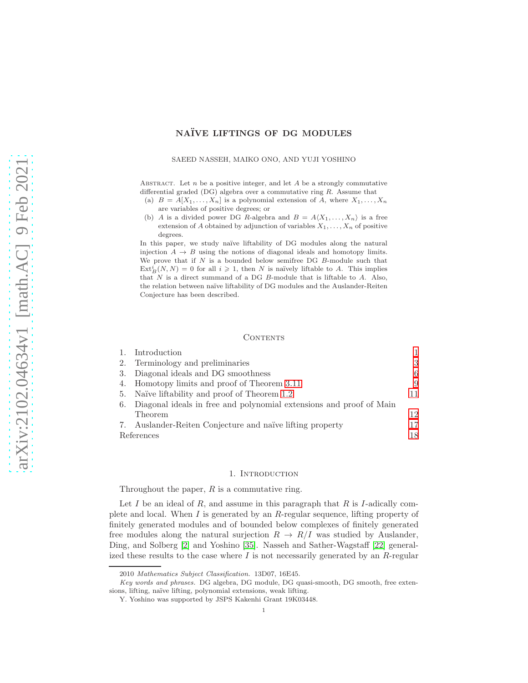# NAÏVE LIFTINGS OF DG MODULES

#### SAEED NASSEH, MAIKO ONO, AND YUJI YOSHINO

ABSTRACT. Let  $n$  be a positive integer, and let  $A$  be a strongly commutative differential graded (DG) algebra over a commutative ring R. Assume that

- (a)  $B = A[X_1, \ldots, X_n]$  is a polynomial extension of A, where  $X_1, \ldots, X_n$ are variables of positive degrees; or
- (b) A is a divided power DG R-algebra and  $B = A \langle X_1, \ldots, X_n \rangle$  is a free extension of A obtained by adjunction of variables  $X_1, \ldots, X_n$  of positive degrees.

In this paper, we study naïve liftability of DG modules along the natural injection  $A \rightarrow B$  using the notions of diagonal ideals and homotopy limits. We prove that if  $N$  is a bounded below semifree DG  $B$ -module such that  $\text{Ext}_{B}^{i}(N, N) = 0$  for all  $i \geq 1$ , then N is naïvely liftable to A. This implies that  $N$  is a direct summand of a DG  $B$ -module that is liftable to  $A$ . Also, the relation between na¨ıve liftability of DG modules and the Auslander-Reiten Conjecture has been described.

### **CONTENTS**

| 1. Introduction                                                        |    |
|------------------------------------------------------------------------|----|
| 2. Terminology and preliminaries                                       | 3  |
| 3. Diagonal ideals and DG smoothness                                   | 6  |
| 4. Homotopy limits and proof of Theorem 3.11                           | 9  |
| 5. Naïve liftability and proof of Theorem 1.2                          |    |
| 6. Diagonal ideals in free and polynomial extensions and proof of Main |    |
| Theorem                                                                | 12 |
| 7. Auslander-Reiten Conjecture and naïve lifting property              |    |
| References                                                             |    |

### 1. INTRODUCTION

<span id="page-0-0"></span>Throughout the paper,  $R$  is a commutative ring.

Let I be an ideal of R, and assume in this paragraph that  $R$  is I-adically complete and local. When I is generated by an  $R$ -regular sequence, lifting property of finitely generated modules and of bounded below complexes of finitely generated free modules along the natural surjection  $R \to R/I$  was studied by Auslander, Ding, and Solberg [\[2\]](#page-17-1) and Yoshino [\[35\]](#page-18-0). Nasseh and Sather-Wagstaff [\[22\]](#page-18-1) generalized these results to the case where  $I$  is not necessarily generated by an  $R$ -regular

<sup>2010</sup> Mathematics Subject Classification. 13D07, 16E45.

Key words and phrases. DG algebra, DG module, DG quasi-smooth, DG smooth, free extensions, lifting, naïve lifting, polynomial extensions, weak lifting.

Y. Yoshino was supported by JSPS Kakenhi Grant 19K03448.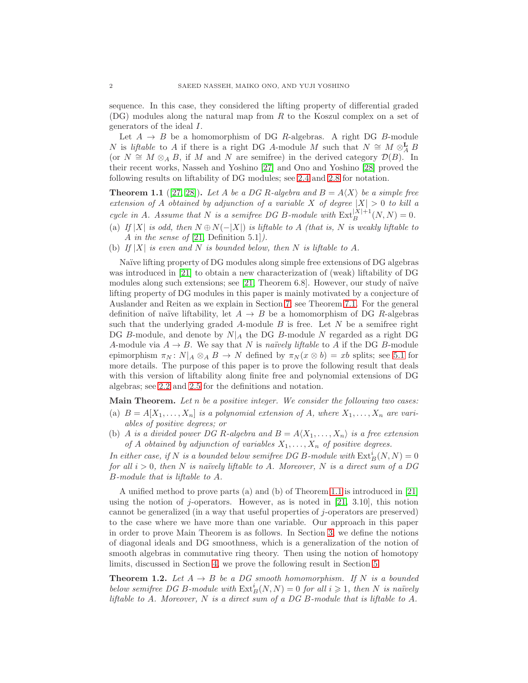sequence. In this case, they considered the lifting property of differential graded (DG) modules along the natural map from R to the Koszul complex on a set of generators of the ideal I.

Let  $A \rightarrow B$  be a homomorphism of DG R-algebras. A right DG B-module N is liftable to A if there is a right DG A-module M such that  $N \cong M \otimes_A^{\mathbf{L}} B$ (or  $N \cong M \otimes_A B$ , if M and N are semifree) in the derived category  $\mathcal{D}(B)$ . In their recent works, Nasseh and Yoshino [\[27\]](#page-18-2) and Ono and Yoshino [\[28\]](#page-18-3) proved the following results on liftability of DG modules; see [2.4](#page-2-1) and [2.8](#page-4-0) for notation.

<span id="page-1-1"></span>**Theorem 1.1** ([\[27,](#page-18-2) [28\]](#page-18-3)). Let A be a DG R-algebra and  $B = A\langle X \rangle$  be a simple free extension of A obtained by adjunction of a variable X of degree  $|X| > 0$  to kill a cycle in A. Assume that N is a semifree DG B-module with  $\text{Ext}_{B}^{|X|+1}(N, N) = 0$ .

- (a) If |X| is odd, then  $N \oplus N(-|X|)$  is liftable to A (that is, N is weakly liftable to A in the sense of  $[21,$  Definition 5.1]).
- (b) If  $|X|$  is even and N is bounded below, then N is liftable to A.

Naïve lifting property of DG modules along simple free extensions of DG algebras was introduced in [\[21\]](#page-18-4) to obtain a new characterization of (weak) liftability of DG modules along such extensions; see  $[21,$  Theorem 6.8]. However, our study of naïve lifting property of DG modules in this paper is mainly motivated by a conjecture of Auslander and Reiten as we explain in Section [7;](#page-16-0) see Theorem [7.1.](#page-16-1) For the general definition of naïve liftability, let  $A \rightarrow B$  be a homomorphism of DG R-algebras such that the underlying graded  $A$ -module  $B$  is free. Let  $N$  be a semifree right DG B-module, and denote by  $N|_A$  the DG B-module N regarded as a right DG A-module via  $A \to B$ . We say that N is naïvely liftable to A if the DG B-module epimorphism  $\pi_N: N|_A \otimes_A B \to N$  defined by  $\pi_N(x \otimes b) = xb$  splits; see [5.1](#page-10-1) for more details. The purpose of this paper is to prove the following result that deals with this version of liftability along finite free and polynomial extensions of DG algebras; see [2.2](#page-2-2) and [2.5](#page-3-0) for the definitions and notation.

**Main Theorem.** Let n be a positive integer. We consider the following two cases:

- (a)  $B = A[X_1, \ldots, X_n]$  is a polynomial extension of A, where  $X_1, \ldots, X_n$  are variables of positive degrees; or
- (b) A is a divided power DG R-algebra and  $B = A\langle X_1, \ldots, X_n \rangle$  is a free extension of A obtained by adjunction of variables  $X_1, \ldots, X_n$  of positive degrees.

In either case, if N is a bounded below semifree DG B-module with  $\mathrm{Ext}^i_B(N,N) = 0$ for all  $i > 0$ , then N is naïvely liftable to A. Moreover, N is a direct sum of a DG B-module that is liftable to A.

A unified method to prove parts (a) and (b) of Theorem [1.1](#page-1-1) is introduced in [\[21\]](#page-18-4) using the notion of j-operators. However, as is noted in  $[21, 3.10]$ , this notion cannot be generalized (in a way that useful properties of j-operators are preserved) to the case where we have more than one variable. Our approach in this paper in order to prove Main Theorem is as follows. In Section [3,](#page-5-0) we define the notions of diagonal ideals and DG smoothness, which is a generalization of the notion of smooth algebras in commutative ring theory. Then using the notion of homotopy limits, discussed in Section [4,](#page-8-1) we prove the following result in Section [5.](#page-10-0)

<span id="page-1-0"></span>**Theorem 1.2.** Let  $A \rightarrow B$  be a DG smooth homomorphism. If N is a bounded below semifree DG B-module with  $\text{Ext}^i_B(N, N) = 0$  for all  $i \geq 1$ , then N is naïvely liftable to A. Moreover, N is a direct sum of a DG B-module that is liftable to A.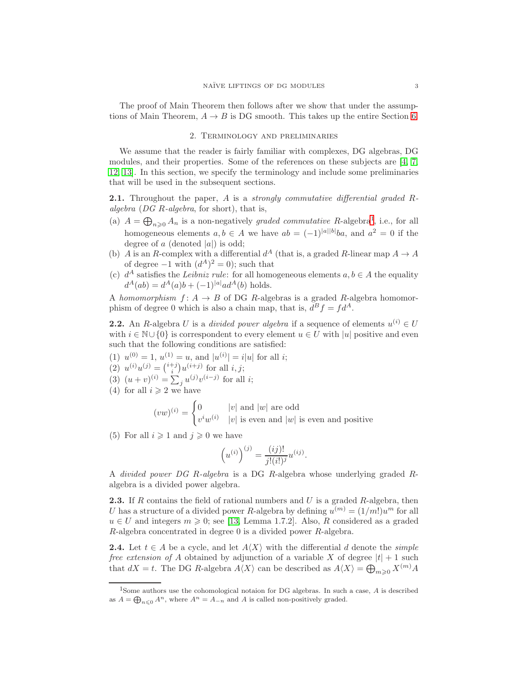<span id="page-2-0"></span>The proof of Main Theorem then follows after we show that under the assumptions of Main Theorem,  $A \rightarrow B$  is DG smooth. This takes up the entire Section [6.](#page-11-0)

### 2. Terminology and preliminaries

We assume that the reader is fairly familiar with complexes, DG algebras, DG modules, and their properties. Some of the references on these subjects are [\[4,](#page-17-2) [7,](#page-17-3) [12,](#page-17-4) [13\]](#page-17-5). In this section, we specify the terminology and include some preliminaries that will be used in the subsequent sections.

<span id="page-2-4"></span>**2.1.** Throughout the paper,  $A$  is a *strongly commutative differential graded*  $R$ algebra (DG R-algebra, for short), that is,

- (a)  $A = \bigoplus_{n\geqslant 0} A_n$  is a non-negatively graded commutative R-algebra<sup>[1](#page-2-3)</sup>, i.e., for all homogeneous elements  $a, b \in A$  we have  $ab = (-1)^{|a||b|}ba$ , and  $a^2 = 0$  if the degree of a (denoted  $|a|$ ) is odd;
- (b) A is an R-complex with a differential  $d^A$  (that is, a graded R-linear map  $A \to A$ of degree  $-1$  with  $(d^A)^2 = 0$ ; such that
- (c)  $d^A$  satisfies the Leibniz rule: for all homogeneous elements  $a, b \in A$  the equality  $d^{A}(ab) = d^{A}(a)b + (-1)^{|a|}ad^{A}(b)$  holds.

A homomorphism  $f: A \rightarrow B$  of DG R-algebras is a graded R-algebra homomorphism of degree 0 which is also a chain map, that is,  $d^B f = f d^A$ .

<span id="page-2-2"></span>**2.2.** An R-algebra U is a *divided power algebra* if a sequence of elements  $u^{(i)} \in U$ with  $i \in \mathbb{N} \cup \{0\}$  is correspondent to every element  $u \in U$  with  $|u|$  positive and even such that the following conditions are satisfied:

- (1)  $u^{(0)} = 1$ ,  $u^{(1)} = u$ , and  $|u^{(i)}| = i|u|$  for all *i*;
- (2)  $u^{(i)}u^{(j)} = \binom{i+j}{i}u^{(i+j)}$  for all  $i, j$ ;
- (3)  $(u + v)^{(i)} = \sum_j u^{(j)} v^{(i-j)}$  for all *i*;
- (4) for all  $i \geqslant 2$  we have

$$
(vw)^{(i)} = \begin{cases} 0 & |v| \text{ and } |w| \text{ are odd} \\ v^iw^{(i)} & |v| \text{ is even and } |w| \text{ is even and positive} \end{cases}
$$

(5) For all  $i \geq 1$  and  $j \geq 0$  we have

$$
(u^{(i)})^{(j)} = \frac{(ij)!}{j!(i!)^j} u^{(ij)}.
$$

A divided power DG R-algebra is a DG R-algebra whose underlying graded Ralgebra is a divided power algebra.

<span id="page-2-5"></span>**2.3.** If R contains the field of rational numbers and U is a graded R-algebra, then U has a structure of a divided power R-algebra by defining  $u^{(m)} = (1/m!)u^m$  for all  $u \in U$  and integers  $m \geq 0$ ; see [\[13,](#page-17-5) Lemma 1.7.2]. Also, R considered as a graded  $R$ -algebra concentrated in degree 0 is a divided power  $R$ -algebra.

<span id="page-2-1"></span>**2.4.** Let  $t \in A$  be a cycle, and let  $A\langle X \rangle$  with the differential d denote the *simple* free extension of A obtained by adjunction of a variable X of degree  $|t| + 1$  such that  $dX = t$ . The DG R-algebra  $A\langle X \rangle$  can be described as  $A\langle X \rangle = \bigoplus_{m \geqslant 0} X^{(m)} A$ 

<span id="page-2-3"></span><sup>&</sup>lt;sup>1</sup>Some authors use the cohomological notaion for DG algebras. In such a case, A is described as  $A = \bigoplus_{n \leq 0} A^n$ , where  $A^n = A_{-n}$  and A is called non-positively graded.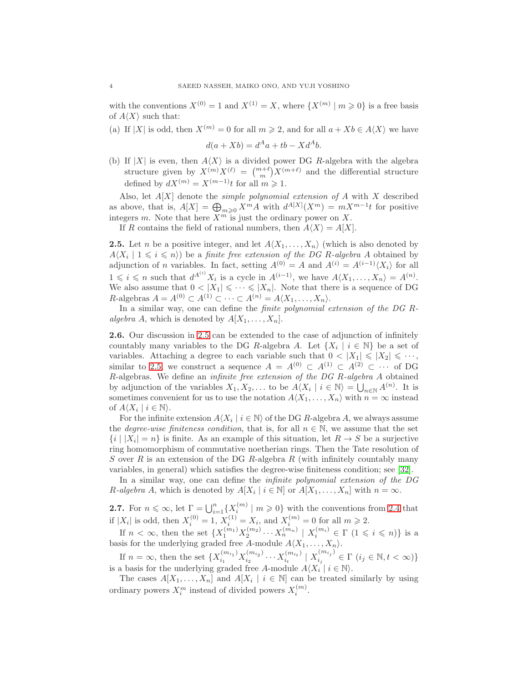with the conventions  $X^{(0)} = 1$  and  $X^{(1)} = X$ , where  $\{X^{(m)} | m \geq 0\}$  is a free basis of  $A\langle X\rangle$  such that:

(a) If |X| is odd, then  $X^{(m)} = 0$  for all  $m \ge 2$ , and for all  $a + Xb \in A\langle X \rangle$  we have

$$
d(a+Xb) = d^Aa + tb - Xd^Ab.
$$

(b) If |X| is even, then  $A\langle X\rangle$  is a divided power DG R-algebra with the algebra structure given by  $X^{(m)}X^{(\ell)} = \binom{m+\ell}{m}X^{(m+\ell)}$  and the differential structure defined by  $dX^{(m)} = X^{(m-1)}t$  for all  $m \geq 1$ .

Also, let  $A[X]$  denote the *simple polynomial extension of*  $A$  with  $X$  described as above, that is,  $A[X] = \bigoplus_{m\geqslant 0} X^m A$  with  $d^{A[X]}(X^m) = mX^{m-1}t$  for positive integers m. Note that here  $X^m$  is just the ordinary power on X.

If R contains the field of rational numbers, then  $A\langle X\rangle = A[X]$ .

<span id="page-3-0"></span>**2.5.** Let *n* be a positive integer, and let  $A\langle X_1, \ldots, X_n \rangle$  (which is also denoted by  $A\langle X_i \mid 1 \leq i \leq n \rangle$  be a finite free extension of the DG R-algebra A obtained by adjunction of *n* variables. In fact, setting  $A^{(0)} = A$  and  $A^{(i)} = A^{(i-1)}\langle X_i \rangle$  for all  $1 \leqslant i \leqslant n$  such that  $d^{A^{(i)}}X_i$  is a cycle in  $A^{(i-1)}$ , we have  $A\langle X_1,\ldots,X_n\rangle = A^{(n)}$ . We also assume that  $0 < |X_1| \leq \cdots \leq |X_n|$ . Note that there is a sequence of DG R-algebras  $A = A^{(0)} \subset A^{(1)} \subset \cdots \subset A^{(n)} = A \langle X_1, \ldots, X_n \rangle$ .

In a similar way, one can define the *finite polynomial extension of the DG R*algebra A, which is denoted by  $A[X_1, \ldots, X_n]$ .

2.6. Our discussion in [2.5](#page-3-0) can be extended to the case of adjunction of infinitely countably many variables to the DG R-algebra A. Let  $\{X_i \mid i \in \mathbb{N}\}\$  be a set of variables. Attaching a degree to each variable such that  $0 < |X_1| \leq |X_2| \leq \cdots$ , similar to [2.5,](#page-3-0) we construct a sequence  $A = A^{(0)} \subset A^{(1)} \subset A^{(2)} \subset \cdots$  of DG R-algebras. We define an infinite free extension of the DG R-algebra A obtained by adjunction of the variables  $X_1, X_2, \ldots$  to be  $A\langle X_i | i \in \mathbb{N} \rangle = \bigcup_{n \in \mathbb{N}} A^{(n)}$ . It is sometimes convenient for us to use the notation  $A\langle X_1, \ldots, X_n \rangle$  with  $n = \infty$  instead of  $A\langle X_i \mid i \in \mathbb{N} \rangle$ .

For the infinite extension  $A\langle X_i | i \in \mathbb{N} \rangle$  of the DG R-algebra A, we always assume the *degree-wise finiteness condition*, that is, for all  $n \in \mathbb{N}$ , we assume that the set  $\{i \mid |X_i| = n\}$  is finite. As an example of this situation, let  $R \to S$  be a surjective ring homomorphism of commutative noetherian rings. Then the Tate resolution of S over R is an extension of the DG R-algebra R (with infinitely countably many variables, in general) which satisfies the degree-wise finiteness condition; see [\[32\]](#page-18-5).

In a similar way, one can define the *infinite polynomial extension of the DG* R-algebra A, which is denoted by  $A[X_i \mid i \in \mathbb{N}]$  or  $A[X_1, \ldots, X_n]$  with  $n = \infty$ .

<span id="page-3-1"></span>**2.7.** For  $n \leq \infty$ , let  $\Gamma = \bigcup_{i=1}^n {\{\overline{X}_i^{(m)} \mid m \geq 0\}}$  with the conventions from [2.4](#page-2-1) that if  $|X_i|$  is odd, then  $X_i^{(0)} = 1$ ,  $X_i^{(1)} = X_i$ , and  $X_i^{(m)} = 0$  for all  $m \ge 2$ .

If  $n < \infty$ , then the set  $\{X_1^{(m_1)}X_2^{(m_2)}\cdots X_n^{(m_n)} \mid X_i^{(m_i)} \in \Gamma \ (1 \leqslant i \leqslant n)\}\)$  is a basis for the underlying graded free A-module  $A\langle X_1, \ldots, X_n \rangle$ .

If  $n = \infty$ , then the set  $\{X_{i_1}^{(m_{i_1})} X_{i_2}^{(m_{i_2})}\}$  $x_{i_2}^{(m_{i_2})}\cdots x_{i_t}^{(m_{i_t})}$  $\binom{m_{i_t}}{i_t}$  |  $X_{i_j}^{(m_{i_j})}$  $\sum_{i_j}^{\lfloor m_{i_j}\rfloor} \in \Gamma$   $(i_j \in \mathbb{N}, t < \infty)$ is a basis for the underlying graded free A-module  $A\langle X_i | i \in \mathbb{N} \rangle$ .

The cases  $A[X_1, \ldots, X_n]$  and  $A[X_i \mid i \in \mathbb{N}]$  can be treated similarly by using ordinary powers  $X_i^m$  instead of divided powers  $X_i^{(m)}$ .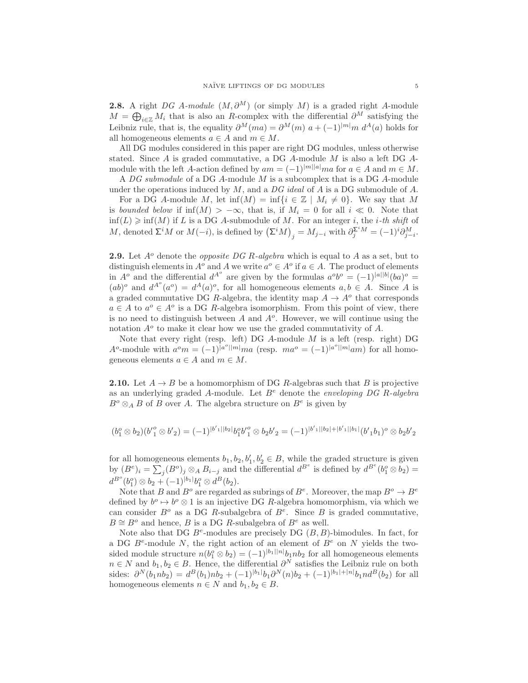<span id="page-4-0"></span>**2.8.** A right DG A-module  $(M, \partial^M)$  (or simply M) is a graded right A-module  $M = \bigoplus_{i \in \mathbb{Z}} M_i$  that is also an R-complex with the differential  $\partial^M$  satisfying the Leibniz rule, that is, the equality  $\partial^M(ma) = \partial^M(m) a + (-1)^{|m|} m d^A(a)$  holds for all homogeneous elements  $a \in A$  and  $m \in M$ .

All DG modules considered in this paper are right DG modules, unless otherwise stated. Since A is graded commutative, a DG A-module M is also a left DG  $A$ module with the left A-action defined by  $am = (-1)^{|m||a|} ma$  for  $a \in A$  and  $m \in M$ .

A  $DG$  submodule of a DG A-module  $M$  is a subcomplex that is a DG A-module under the operations induced by  $M$ , and a  $DG$  ideal of  $A$  is a DG submodule of  $A$ .

For a DG A-module M, let  $inf(M) = inf\{i \in \mathbb{Z} \mid M_i \neq 0\}$ . We say that M is bounded below if  $\inf(M) > -\infty$ , that is, if  $M_i = 0$  for all  $i \ll 0$ . Note that  $\inf(L) \geq \inf(M)$  if L is a DG A-submodule of M. For an integer i, the i-th shift of M, denoted  $\Sigma^i M$  or  $M(-i)$ , is defined by  $(\Sigma^i M)_j = M_{j-i}$  with  $\partial_j^{\Sigma^i M} = (-1)^i \partial_{j-i}^M$ .

**2.9.** Let  $A^o$  denote the *opposite DG R-algebra* which is equal to A as a set, but to distinguish elements in  $A^o$  and A we write  $a^o \in A^o$  if  $a \in A$ . The product of elements in  $A^o$  and the differential  $d^{A^o}$  are given by the formulas  $a^o b^o = (-1)^{|a||b|} (ba)^o =$  $(ab)$ <sup>o</sup> and  $d^{A^o}(a^o) = d^A(a)$ <sup>o</sup>, for all homogeneous elements  $a, b \in A$ . Since A is a graded commutative DG R-algebra, the identity map  $A \to A^o$  that corresponds  $a \in A$  to  $a^o \in A^o$  is a DG R-algebra isomorphism. From this point of view, there is no need to distinguish between  $A$  and  $A<sup>o</sup>$ . However, we will continue using the notation  $A^o$  to make it clear how we use the graded commutativity of  $A$ .

Note that every right (resp. left) DG  $A$ -module  $M$  is a left (resp. right) DG A<sup>o</sup>-module with  $a^{\circ}m = (-1)^{|a^{\circ}||m|}ma$  (resp.  $ma^{\circ} = (-1)^{|a^{\circ}||m|}am$ ) for all homogeneous elements  $a \in A$  and  $m \in M$ .

<span id="page-4-1"></span>**2.10.** Let  $A \rightarrow B$  be a homomorphism of DG R-algebras such that B is projective as an underlying graded A-module. Let  $B^e$  denote the *enveloping DG R-algebra*  $B^o \otimes_A B$  of B over A. The algebra structure on  $B^e$  is given by

$$
(b_1^o \otimes b_2)(b_1'^o \otimes b_2')=(-1)^{|b_1'||b_2|}b_1^o b_1'^o \otimes b_2b_2' = (-1)^{|b_1'||b_2|+|b_1'||b_1|} (b_1'b_1)^o \otimes b_2b_2'
$$

for all homogeneous elements  $b_1, b_2, b'_1, b'_2 \in B$ , while the graded structure is given by  $(B^e)_i = \sum_j (B^o)_j \otimes_A B_{i-j}$  and the differential  $d^{B^e}$  is defined by  $d^{B^e}(b_1^o \otimes b_2) =$  $d^{B^o}(b_1^o) \otimes b_2 + (-1)^{|b_1|} b_1^o \otimes d^B(b_2).$ 

Note that B and  $B^o$  are regarded as subrings of  $B^e$ . Moreover, the map  $B^o \to B^e$ defined by  $b^o \mapsto b^o \otimes 1$  is an injective DG R-algebra homomorphism, via which we can consider  $B^o$  as a DG R-subalgebra of  $B^e$ . Since B is graded commutative,  $B \cong B^o$  and hence, B is a DG R-subalgebra of  $B^e$  as well.

Note also that DG  $B^e$ -modules are precisely DG  $(B, B)$ -bimodules. In fact, for a DG  $B^e$ -module N, the right action of an element of  $B^e$  on N yields the twosided module structure  $n(b_1^o \otimes b_2) = (-1)^{|b_1||n|} b_1 n b_2$  for all homogeneous elements  $n \in N$  and  $b_1, b_2 \in B$ . Hence, the differential  $\partial^N$  satisfies the Leibniz rule on both sides:  $\partial^N(b_1nb_2) = d^B(b_1)nb_2 + (-1)^{|b_1|}b_1\partial^N(n)b_2 + (-1)^{|b_1|+|n|}b_1nd^B(b_2)$  for all homogeneous elements  $n \in N$  and  $b_1, b_2 \in B$ .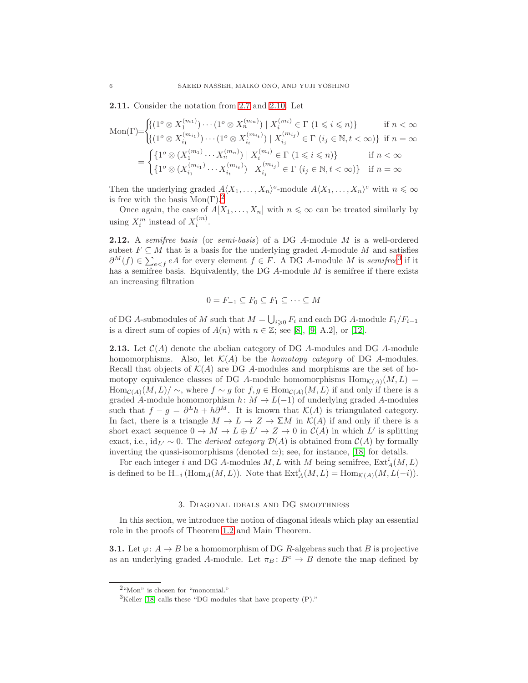<span id="page-5-5"></span>2.11. Consider the notation from [2.7](#page-3-1) and [2.10.](#page-4-1) Let

$$
\text{Mon}(\Gamma) = \begin{cases} \n\left\{ (1^o \otimes X_1^{(m_1)}) \cdots (1^o \otimes X_n^{(m_n)}) \mid X_i^{(m_i)} \in \Gamma \ (1 \leq i \leq n) \right\} & \text{if } n < \infty \\
\left\{ (1^o \otimes X_{i_1}^{(m_1)}) \cdots (1^o \otimes X_{i_t}^{(m_{i_t})}) \mid X_{i_j}^{(m_{i_j})} \in \Gamma \ (i_j \in \mathbb{N}, t < \infty) \right\} & \text{if } n = \infty \\
= \n\left\{ \n\left\{ 1^o \otimes (X_1^{(m_1)} \cdots X_n^{(m_n)}) \mid X_i^{(m_i)} \in \Gamma \ (1 \leq i \leq n) \right\} & \text{if } n < \infty \\
\left\{ 1^o \otimes (X_{i_1}^{(m_{i_1})} \cdots X_{i_t}^{(m_{i_t})}) \mid X_{i_j}^{(m_{i_j})} \in \Gamma \ (i_j \in \mathbb{N}, t < \infty) \right\} & \text{if } n = \infty\n\end{cases}
$$

Then the underlying graded  $A\langle X_1,\ldots,X_n\rangle$ <sup>o</sup>-module  $A\langle X_1,\ldots,X_n\rangle^e$  with  $n \leq \infty$ is free with the basis  $Mon(Γ).<sup>2</sup>$  $Mon(Γ).<sup>2</sup>$  $Mon(Γ).<sup>2</sup>$ 

Once again, the case of  $A[X_1, \ldots, X_n]$  with  $n \leq \infty$  can be treated similarly by using  $X_i^m$  instead of  $X_i^{(m)}$ .

**2.12.** A semifree basis (or semi-basis) of a DG A-module M is a well-ordered subset  $F \subseteq M$  that is a basis for the underlying graded A-module M and satisfies  $\partial^{M}(f) \in \sum_{e \leq f} eA$  for every element  $f \in F$ . A DG A-module M is semifree<sup>[3](#page-5-2)</sup> if it has a semifree basis. Equivalently, the DG  $A$ -module  $M$  is semifree if there exists an increasing filtration

$$
0 = F_{-1} \subseteq F_0 \subseteq F_1 \subseteq \cdots \subseteq M
$$

of DG A-submodules of M such that  $M = \bigcup_{i \geq 0} F_i$  and each DG A-module  $F_i/F_{i-1}$ is a direct sum of copies of  $A(n)$  with  $n \in \mathbb{Z}$ ; see [\[8\]](#page-17-6), [\[9,](#page-17-7) A.2], or [\[12\]](#page-17-4).

<span id="page-5-4"></span>**2.13.** Let  $C(A)$  denote the abelian category of DG A-modules and DG A-module homomorphisms. Also, let  $\mathcal{K}(A)$  be the *homotopy category* of DG A-modules. Recall that objects of  $\mathcal{K}(A)$  are DG A-modules and morphisms are the set of homotopy equivalence classes of DG A-module homomorphisms  $\text{Hom}_{\mathcal{K}(A)}(M,L)$  =  $\text{Hom}_{\mathcal{C}(A)}(M,L)/\sim$ , where  $f\sim g$  for  $f,g\in \text{Hom}_{\mathcal{C}(A)}(M,L)$  if and only if there is a graded A-module homomorphism  $h: M \to L(-1)$  of underlying graded A-modules such that  $f - g = \partial^L h + h \partial^M$ . It is known that  $\mathcal{K}(A)$  is triangulated category. In fact, there is a triangle  $M \to L \to Z \to \Sigma M$  in  $\mathcal{K}(A)$  if and only if there is a short exact sequence  $0 \to M \to L \oplus L' \to Z \to 0$  in  $\mathcal{C}(A)$  in which L' is splitting exact, i.e., id<sub>L'</sub> ~ 0. The *derived category*  $\mathcal{D}(A)$  is obtained from  $\mathcal{C}(A)$  by formally inverting the quasi-isomorphisms (denoted  $\simeq$ ); see, for instance, [\[18\]](#page-18-6) for details.

For each integer i and DG A-modules  $M, L$  with  $M$  being semifree,  $\text{Ext}_{A}^{i}(M, L)$ is defined to be  $H_{-i}(\text{Hom}_A(M, L))$ . Note that  $\text{Ext}^i_A(M, L) = \text{Hom}_{\mathcal{K}(A)}(M, L(-i)).$ 

#### 3. Diagonal ideals and DG smoothness

<span id="page-5-0"></span>In this section, we introduce the notion of diagonal ideals which play an essential role in the proofs of Theorem [1.2](#page-1-0) and Main Theorem.

<span id="page-5-3"></span>**3.1.** Let  $\varphi: A \to B$  be a homomorphism of DG R-algebras such that B is projective as an underlying graded A-module. Let  $\pi_B : B^e \to B$  denote the map defined by

<sup>2</sup>"Mon" is chosen for "monomial."

<span id="page-5-2"></span><span id="page-5-1"></span> ${}^{3}$ Keller [\[18\]](#page-18-6) calls these "DG modules that have property (P)."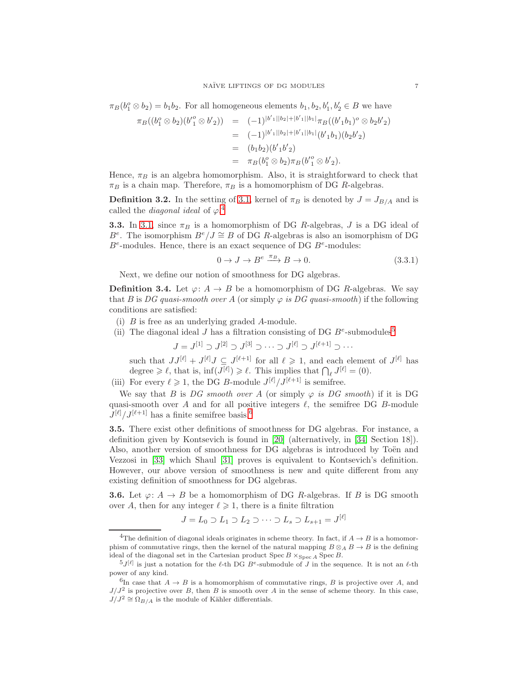$\pi_B(b_1^o \otimes b_2) = b_1b_2$ . For all homogeneous elements  $b_1, b_2, b'_1, b'_2 \in B$  we have

$$
\pi_B((b_1^o \otimes b_2)(b_1^o \otimes b_2')) = (-1)^{|b_1^{\prime}| |b_2| + |b_1^{\prime}| |b_1|} \pi_B((b_1^{\prime} b_1)^o \otimes b_2 b_2^{\prime})
$$
  
\n
$$
= (-1)^{|b_1^{\prime}| |b_2| + |b_1^{\prime}| |b_1|} (b_1^{\prime} b_1)(b_2 b_2^{\prime})
$$
  
\n
$$
= (b_1 b_2)(b_1^{\prime} b_2^{\prime})
$$
  
\n
$$
= \pi_B(b_1^o \otimes b_2) \pi_B(b_1^{\prime o} \otimes b_2^{\prime}).
$$

Hence,  $\pi_B$  is an algebra homomorphism. Also, it is straightforward to check that  $\pi_B$  is a chain map. Therefore,  $\pi_B$  is a homomorphism of DG R-algebras.

**Definition 3.2.** In the setting of [3.1,](#page-5-3) kernel of  $\pi_B$  is denoted by  $J = J_{B/A}$  and is called the *diagonal ideal* of  $\varphi$ <sup>[4](#page-6-0)</sup>

**3.3.** In [3.1,](#page-5-3) since  $\pi_B$  is a homomorphism of DG R-algebras, J is a DG ideal of B<sup>e</sup>. The isomorphism  $B^e/J \cong B$  of DG R-algebras is also an isomorphism of DG  $B<sup>e</sup>$ -modules. Hence, there is an exact sequence of DG  $B<sup>e</sup>$ -modules:

<span id="page-6-4"></span>
$$
0 \to J \to B^e \xrightarrow{\pi_B} B \to 0. \tag{3.3.1}
$$

Next, we define our notion of smoothness for DG algebras.

<span id="page-6-3"></span>**Definition 3.4.** Let  $\varphi: A \to B$  be a homomorphism of DG R-algebras. We say that B is DG quasi-smooth over A (or simply  $\varphi$  is DG quasi-smooth) if the following conditions are satisfied:

- (i) B is free as an underlying graded A-module.
- (ii) The diagonal ideal J has a filtration consisting of DG  $B^e$ -submodules<sup>[5](#page-6-1)</sup>

 $J = J^{[1]} \supset J^{[2]} \supset J^{[3]} \supset \cdots \supset J^{[\ell]} \supset J^{[\ell+1]} \supset \cdots$ 

such that  $JJ^{[\ell]} + J^{[\ell]}J \subseteq J^{[\ell+1]}$  for all  $\ell \geq 1$ , and each element of  $J^{[\ell]}$  has degree  $\geq \ell$ , that is,  $\inf(J^{[\ell]}) \geq \ell$ . This implies that  $\bigcap_{\ell} J^{[\ell]} = (0)$ .

(iii) For every  $\ell \geq 1$ , the DG B-module  $J^{[\ell]}/J^{[\ell+1]}$  is semifree.

We say that B is DG smooth over A (or simply  $\varphi$  is DG smooth) if it is DG quasi-smooth over A and for all positive integers  $\ell$ , the semifree DG B-module  $J^{[\ell]}/J^{[\ell+1]}$  has a finite semifree basis.<sup>[6](#page-6-2)</sup>

3.5. There exist other definitions of smoothness for DG algebras. For instance, a definition given by Kontsevich is found in [\[20\]](#page-18-7) (alternatively, in [\[34,](#page-18-8) Section 18]). Also, another version of smoothness for DG algebras is introduced by Toën and Vezzosi in [\[33\]](#page-18-9) which Shaul [\[31\]](#page-18-10) proves is equivalent to Kontsevich's definition. However, our above version of smoothness is new and quite different from any existing definition of smoothness for DG algebras.

**3.6.** Let  $\varphi: A \to B$  be a homomorphism of DG R-algebras. If B is DG smooth over A, then for any integer  $\ell \geq 1$ , there is a finite filtration

$$
J = L_0 \supset L_1 \supset L_2 \supset \cdots \supset L_s \supset L_{s+1} = J^{[\ell]}
$$

<span id="page-6-0"></span><sup>&</sup>lt;sup>4</sup>The definition of diagonal ideals originates in scheme theory. In fact, if  $A \rightarrow B$  is a homomorphism of commutative rings, then the kernel of the natural mapping  $B \otimes_A B \to B$  is the defining ideal of the diagonal set in the Cartesian product  $Spec B \times_{Spec A} Spec B$ .

<span id="page-6-1"></span> $^{5}J^{[\ell]}$  is just a notation for the  $\ell$ -th DG  $B^e$ -submodule of J in the sequence. It is not an  $\ell$ -th power of any kind.

<span id="page-6-2"></span><sup>&</sup>lt;sup>6</sup>In case that  $A \to B$  is a homomorphism of commutative rings, B is projective over A, and  $J/J^2$  is projective over B, then B is smooth over A in the sense of scheme theory. In this case,  $J/J^2 \cong \Omega_{B/A}$  is the module of Kähler differentials.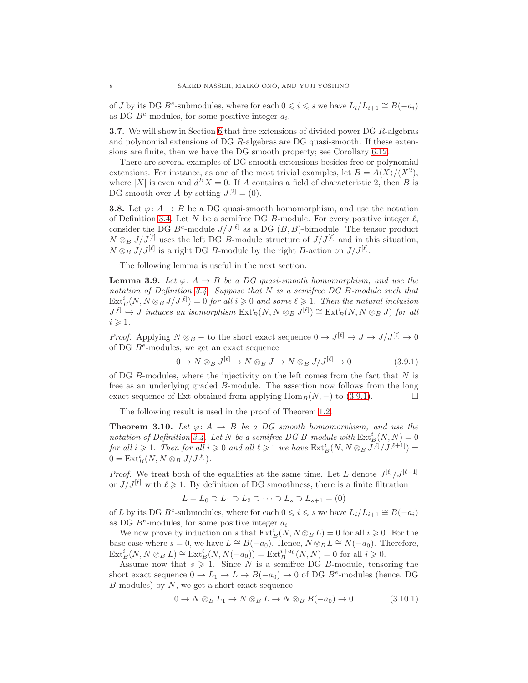of J by its DG  $B^e$ -submodules, where for each  $0 \leq i \leq s$  we have  $L_i/L_{i+1} \cong B(-a_i)$ as DG  $B^e$ -modules, for some positive integer  $a_i$ .

3.7. We will show in Section [6](#page-11-0) that free extensions of divided power DG R-algebras and polynomial extensions of DG R-algebras are DG quasi-smooth. If these extensions are finite, then we have the DG smooth property; see Corollary [6.12.](#page-16-2)

There are several examples of DG smooth extensions besides free or polynomial extensions. For instance, as one of the most trivial examples, let  $B = A\langle X \rangle/(X^2)$ , where |X| is even and  $d^B X = 0$ . If A contains a field of characteristic 2, then B is DG smooth over A by setting  $J^{[2]} = (0)$ .

**3.8.** Let  $\varphi: A \to B$  be a DG quasi-smooth homomorphism, and use the notation of Definition [3.4.](#page-6-3) Let N be a semifree DG B-module. For every positive integer  $\ell$ , consider the DG  $B^e$ -module  $J/J^{[\ell]}$  as a DG  $(B, B)$ -bimodule. The tensor product  $N \otimes_B J/J^{[\ell]}$  uses the left DG B-module structure of  $J/J^{[\ell]}$  and in this situation,  $N \otimes_B J/J^{[\ell]}$  is a right DG B-module by the right B-action on  $J/J^{[\ell]}$ .

The following lemma is useful in the next section.

<span id="page-7-2"></span>**Lemma 3.9.** Let  $\varphi: A \to B$  be a DG quasi-smooth homomorphism, and use the notation of Definition [3.4.](#page-6-3) Suppose that  $N$  is a semifree DG B-module such that  $\mathrm{Ext}^i_B(N, N \otimes_B J/J^{[\ell]}) = 0$  for all  $i \geqslant 0$  and some  $\ell \geqslant 1$ . Then the natural inclusion  $J^{[\ell]} \to J$  induces an isomorphism  $\text{Ext}^i_B(N, N \otimes_B J^{[\ell]}) \cong \text{Ext}^i_B(N, N \otimes_B J)$  for all  $i \geqslant 1$ .

*Proof.* Applying  $N \otimes_B -$  to the short exact sequence  $0 \to J^{[\ell]} \to J \to J^{[\ell]} \to 0$ of DG  $B<sup>e</sup>$ -modules, we get an exact sequence

<span id="page-7-0"></span>
$$
0 \to N \otimes_B J^{[\ell]} \to N \otimes_B J \to N \otimes_B J/J^{[\ell]} \to 0 \tag{3.9.1}
$$

of DG  $B$ -modules, where the injectivity on the left comes from the fact that  $N$  is free as an underlying graded B-module. The assertion now follows from the long exact sequence of Ext obtained from applying  $\text{Hom}_B(N, -)$  to [\(3.9.1\)](#page-7-0).

The following result is used in the proof of Theorem [1.2.](#page-1-0)

<span id="page-7-3"></span>**Theorem 3.10.** Let  $\varphi: A \to B$  be a DG smooth homomorphism, and use the notation of Definition [3.4.](#page-6-3) Let N be a semifree DG B-module with  $\text{Ext}_{B}^{i}(N, N) = 0$ for all  $i \geqslant 1$ . Then for all  $i \geqslant 0$  and all  $\ell \geqslant 1$  we have  $\mathrm{Ext}^i_B(N, N \otimes_B J^{[\ell]} / J^{[\ell+1]}) =$  $0 = \text{Ext}_{B}^{i}(N, N \otimes_{B} J/J^{[\ell]}).$ 

*Proof.* We treat both of the equalities at the same time. Let L denote  $J^{[\ell]}/J^{[\ell+1]}$ or  $J/J^{[\ell]}$  with  $\ell \geq 1$ . By definition of DG smoothness, there is a finite filtration

$$
L = L_0 \supset L_1 \supset L_2 \supset \cdots \supset L_s \supset L_{s+1} = (0)
$$

of L by its DG  $B^e$ -submodules, where for each  $0 \leq i \leq s$  we have  $L_i/L_{i+1} \cong B(-a_i)$ as DG  $B^e$ -modules, for some positive integer  $a_i$ .

We now prove by induction on s that  $\text{Ext}_{B}^{i}(N, N \otimes_{B} L) = 0$  for all  $i \geq 0$ . For the base case where  $s = 0$ , we have  $L \cong B(-a_0)$ . Hence,  $N \otimes_B L \cong N(-a_0)$ . Therefore,  $\mathrm{Ext}^i_B(N, N \otimes_B L) \cong \mathrm{Ext}^i_B(N, N(-a_0)) = \mathrm{Ext}^{i+a_0}_B(N, N) = 0$  for all  $i \geq 0$ .

Assume now that  $s \geq 1$ . Since N is a semifree DG B-module, tensoring the short exact sequence  $0 \to L_1 \to L \to B(-a_0) \to 0$  of DG  $B^e$ -modules (hence, DG  $B$ -modules) by  $N$ , we get a short exact sequence

<span id="page-7-1"></span>
$$
0 \to N \otimes_B L_1 \to N \otimes_B L \to N \otimes_B B(-a_0) \to 0 \tag{3.10.1}
$$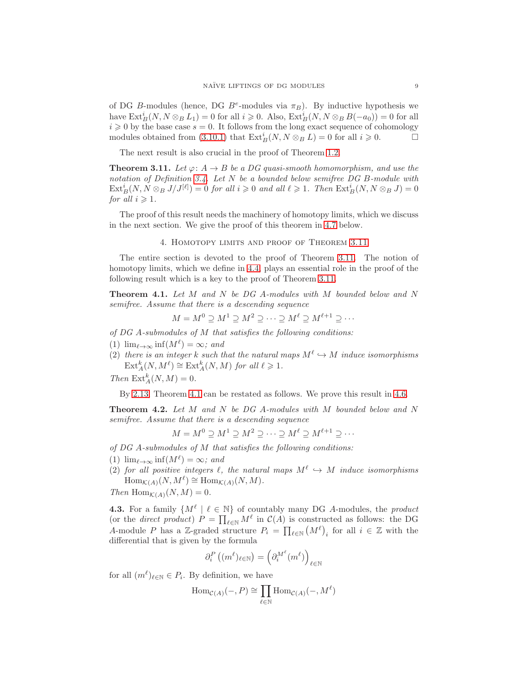of DG B-modules (hence, DG  $B^e$ -modules via  $\pi_B$ ). By inductive hypothesis we have  $\text{Ext}^i_B(N, N \otimes_B L_1) = 0$  for all  $i \geq 0$ . Also,  $\text{Ext}^i_B(N, N \otimes_B B(-a_0)) = 0$  for all  $i \geq 0$  by the base case  $s = 0$ . It follows from the long exact sequence of cohomology modules obtained from [\(3.10.1\)](#page-7-1) that  $\text{Ext}_{B}^{i}(N, N \otimes_{B} L) = 0$  for all  $i \geq 0$ .

The next result is also crucial in the proof of Theorem [1.2.](#page-1-0)

<span id="page-8-0"></span>**Theorem 3.11.** Let  $\varphi: A \to B$  be a DG quasi-smooth homomorphism, and use the notation of Definition [3.4.](#page-6-3) Let N be a bounded below semifree DG B-module with  $\mathrm{Ext}^i_B(N, N \otimes_B J/J^{[\ell]}) = 0$  for all  $i \geqslant 0$  and all  $\ell \geqslant 1$ . Then  $\mathrm{Ext}^i_B(N, N \otimes_B J) = 0$ for all  $i \geqslant 1$ .

<span id="page-8-1"></span>The proof of this result needs the machinery of homotopy limits, which we discuss in the next section. We give the proof of this theorem in [4.7](#page-9-0) below.

### 4. Homotopy limits and proof of Theorem [3.11](#page-8-0)

The entire section is devoted to the proof of Theorem [3.11.](#page-8-0) The notion of homotopy limits, which we define in [4.4,](#page-9-1) plays an essential role in the proof of the following result which is a key to the proof of Theorem [3.11.](#page-8-0)

<span id="page-8-2"></span>Theorem 4.1. Let M and N be DG A-modules with M bounded below and N semifree. Assume that there is a descending sequence

$$
M = M^0 \supseteq M^1 \supseteq M^2 \supseteq \cdots \supseteq M^{\ell} \supseteq M^{\ell+1} \supseteq \cdots
$$

of DG A-submodules of M that satisfies the following conditions:

- (1)  $\lim_{\ell \to \infty} \inf(M^{\ell}) = \infty$ ; and
- (2) there is an integer k such that the natural maps  $M^{\ell} \hookrightarrow M$  induce isomorphisms  $\text{Ext}_{A}^{k}(N, M^{\ell}) \cong \text{Ext}_{A}^{k}(N, M)$  for all  $\ell \geq 1$ .

Then  $\text{Ext}_{A}^{k}(N, M) = 0.$ 

By [2.13,](#page-5-4) Theorem [4.1](#page-8-2) can be restated as follows. We prove this result in [4.6.](#page-9-2)

<span id="page-8-4"></span>Theorem 4.2. Let M and N be DG A-modules with M bounded below and N semifree. Assume that there is a descending sequence

$$
M = M^0 \supseteq M^1 \supseteq M^2 \supseteq \cdots \supseteq M^{\ell} \supseteq M^{\ell+1} \supseteq \cdots
$$

of DG A-submodules of M that satisfies the following conditions:

- (1)  $\lim_{\ell \to \infty} \inf(M^{\ell}) = \infty$ ; and
- (2) for all positive integers  $\ell$ , the natural maps  $M^{\ell} \hookrightarrow M$  induce isomorphisms  $\text{Hom}_{\mathcal{K}(A)}(N, M^{\ell}) \cong \text{Hom}_{\mathcal{K}(A)}(N, M).$

Then  $\text{Hom}_{\mathcal{K}(A)}(N, M) = 0.$ 

<span id="page-8-3"></span>**4.3.** For a family  $\{M^{\ell} \mid \ell \in \mathbb{N}\}\$  of countably many DG A-modules, the product (or the *direct product*)  $P = \prod_{\ell \in \mathbb{N}} M^{\ell}$  in  $C(A)$  is constructed as follows: the DG A-module P has a Z-graded structure  $P_i = \prod_{\ell \in \mathbb{N}} (M^{\ell})_i$  for all  $i \in \mathbb{Z}$  with the differential that is given by the formula

$$
\partial_i^P\left((m^\ell)_{\ell\in\mathbb{N}}\right) = \left(\partial_i^{M^\ell}(m^\ell)\right)_{\ell\in\mathbb{N}}
$$

for all  $(m^{\ell})_{\ell \in \mathbb{N}} \in P_i$ . By definition, we have

$$
\operatorname{Hom}_{\mathcal{C}(A)}(-,P) \cong \prod_{\ell \in \mathbb{N}} \operatorname{Hom}_{\mathcal{C}(A)}(-,M^{\ell})
$$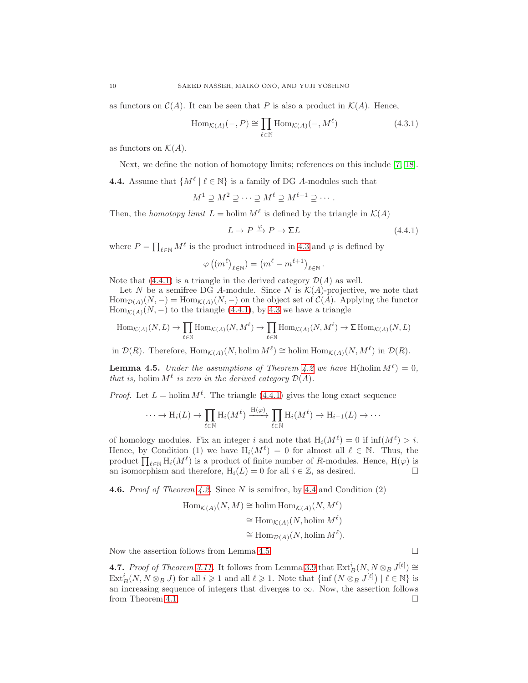as functors on  $\mathcal{C}(A)$ . It can be seen that P is also a product in  $\mathcal{K}(A)$ . Hence,

$$
\text{Hom}_{\mathcal{K}(A)}(-,P) \cong \prod_{\ell \in \mathbb{N}} \text{Hom}_{\mathcal{K}(A)}(-,M^{\ell})
$$
\n(4.3.1)

as functors on  $\mathcal{K}(A)$ .

Next, we define the notion of homotopy limits; references on this include [\[7,](#page-17-3) [18\]](#page-18-6).

<span id="page-9-1"></span>**4.4.** Assume that  $\{M^{\ell} \mid \ell \in \mathbb{N}\}\$ is a family of DG A-modules such that

$$
M^1 \supseteq M^2 \supseteq \cdots \supseteq M^{\ell} \supseteq M^{\ell+1} \supseteq \cdots.
$$

Then, the homotopy limit  $L = \text{holim } M^{\ell}$  is defined by the triangle in  $\mathcal{K}(A)$ 

<span id="page-9-3"></span>
$$
L \to P \xrightarrow{\varphi} P \to \Sigma L \tag{4.4.1}
$$

where  $P = \prod_{\ell \in \mathbb{N}} M^{\ell}$  is the product introduced in [4.3](#page-8-3) and  $\varphi$  is defined by

$$
\varphi\left(\left(m^{\ell}\right)_{\ell\in\mathbb{N}}\right)=\left(m^{\ell}-m^{\ell+1}\right)_{\ell\in\mathbb{N}}.
$$

Note that  $(4.4.1)$  is a triangle in the derived category  $\mathcal{D}(A)$  as well.

Let N be a semifree DG A-module. Since N is  $K(A)$ -projective, we note that  $\text{Hom}_{\mathcal{D}(A)}(N,-) = \text{Hom}_{\mathcal{K}(A)}(N,-)$  on the object set of  $\mathcal{C}(A)$ . Applying the functor  $\text{Hom}_{\mathcal{K}(A)}(N,-)$  to the triangle [\(4.4.1\)](#page-9-3), by [4.3](#page-8-3) we have a triangle

$$
\mathrm{Hom}_{\mathcal{K}(A)}(N,L) \rightarrow \prod_{\ell \in \mathbb{N}} \mathrm{Hom}_{\mathcal{K}(A)}(N,M^{\ell}) \rightarrow \prod_{\ell \in \mathbb{N}} \mathrm{Hom}_{\mathcal{K}(A)}(N,M^{\ell}) \rightarrow \Sigma \; \mathrm{Hom}_{\mathcal{K}(A)}(N,L)
$$

in  $\mathcal{D}(R)$ . Therefore,  $\text{Hom}_{\mathcal{K}(A)}(N, \text{holim }M^{\ell}) \cong \text{holim } \text{Hom}_{\mathcal{K}(A)}(N, M^{\ell})$  in  $\mathcal{D}(R)$ .

<span id="page-9-4"></span>**Lemma 4.5.** Under the assumptions of Theorem [4.2](#page-8-4) we have H(holim  $M^{\ell}$ ) = 0, that is, holim  $M^{\ell}$  is zero in the derived category  $\mathcal{D}(A)$ .

*Proof.* Let  $L = \text{holim } M^{\ell}$ . The triangle [\(4.4.1\)](#page-9-3) gives the long exact sequence

$$
\cdots \to \mathrm{H}_i(L) \to \prod_{\ell \in \mathbb{N}} \mathrm{H}_i(M^{\ell}) \xrightarrow{\mathrm{H}(\varphi)} \prod_{\ell \in \mathbb{N}} \mathrm{H}_i(M^{\ell}) \to \mathrm{H}_{i-1}(L) \to \cdots
$$

of homology modules. Fix an integer i and note that  $H_i(M^{\ell}) = 0$  if  $\inf(M^{\ell}) > i$ . Hence, by Condition (1) we have  $H_i(M^{\ell}) = 0$  for almost all  $\ell \in \mathbb{N}$ . Thus, the product  $\prod_{\ell \in \mathbb{N}} H_i(M^{\ell})$  is a product of finite number of R-modules. Hence,  $H(\varphi)$  is an isomorphism and therefore,  $H_i(L) = 0$  for all  $i \in \mathbb{Z}$ , as desired.

<span id="page-9-2"></span>**4.6.** Proof of Theorem [4.2.](#page-8-4) Since N is semifree, by [4.4](#page-9-1) and Condition  $(2)$ 

$$
\begin{aligned} \text{Hom}_{\mathcal{K}(A)}(N, M) &\cong \text{holim Hom}_{\mathcal{K}(A)}(N, M^{\ell}) \\ &\cong \text{Hom}_{\mathcal{K}(A)}(N, \text{holim } M^{\ell}) \\ &\cong \text{Hom}_{\mathcal{D}(A)}(N, \text{holim } M^{\ell}). \end{aligned}
$$

Now the assertion follows from Lemma [4.5.](#page-9-4)

<span id="page-9-0"></span>**4.7.** Proof of Theorem [3.11.](#page-8-0) It follows from Lemma [3.9](#page-7-2) that  $\text{Ext}_{B}^{i}(N, N \otimes_{B} J^{[\ell]}) \cong$  $Ext^i_B(N, N \otimes_B J)$  for all  $i \geqslant 1$  and all  $\ell \geqslant 1$ . Note that  $\{\inf (N \otimes_B J^{[\ell]}) \mid \ell \in \mathbb{N}\}\$ is an increasing sequence of integers that diverges to  $\infty$ . Now, the assertion follows from Theorem [4.1.](#page-8-2)  $\Box$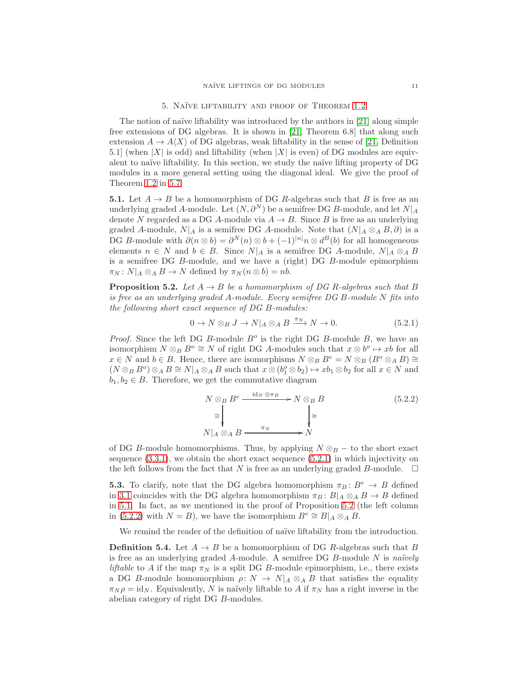### 5. NAÏVE LIFTABILITY AND PROOF OF THEOREM [1.2](#page-1-0)

<span id="page-10-0"></span>The notion of naïve liftability was introduced by the authors in [\[21\]](#page-18-4) along simple free extensions of DG algebras. It is shown in [\[21,](#page-18-4) Theorem 6.8] that along such extension  $A \to A\langle X \rangle$  of DG algebras, weak liftability in the sense of [\[21,](#page-18-4) Definition 5.1] (when  $|X|$  is odd) and liftability (when  $|X|$  is even) of DG modules are equivalent to naïve liftability. In this section, we study the naïve lifting property of DG modules in a more general setting using the diagonal ideal. We give the proof of Theorem [1.2](#page-1-0) in [5.7.](#page-11-1)

<span id="page-10-1"></span>**5.1.** Let  $A \rightarrow B$  be a homomorphism of DG R-algebras such that B is free as an underlying graded A-module. Let  $(N, \partial^N)$  be a semifree DG B-module, and let  $N|_A$ denote N regarded as a DG A-module via  $A \to B$ . Since B is free as an underlying graded A-module,  $N|_A$  is a semifree DG A-module. Note that  $(N|_A \otimes_A B, \partial)$  is a DG B-module with  $\partial(n \otimes b) = \partial^{N}(n) \otimes b + (-1)^{|n|} n \otimes d^{B}(b)$  for all homogeneous elements  $n \in N$  and  $b \in B$ . Since  $N|_A$  is a semifree DG A-module,  $N|_A \otimes_A B$ is a semifree DG B-module, and we have a (right) DG B-module epimorphism  $\pi_N: N|_A \otimes_A B \to N$  defined by  $\pi_N (n \otimes b) = nb$ .

<span id="page-10-3"></span>**Proposition 5.2.** Let  $A \rightarrow B$  be a homomorphism of DG R-algebras such that B is free as an underlying graded A-module. Every semifree DG B-module N fits into the following short exact sequence of DG B-modules:

<span id="page-10-2"></span>
$$
0 \to N \otimes_B J \to N|_A \otimes_A B \xrightarrow{\pi_N} N \to 0. \tag{5.2.1}
$$

*Proof.* Since the left DG B-module  $B^o$  is the right DG B-module B, we have an isomorphism  $N \otimes_B B^o \cong N$  of right DG A-modules such that  $x \otimes b^o \mapsto xb$  for all  $x \in N$  and  $b \in B$ . Hence, there are isomorphisms  $N \otimes_B B^e = N \otimes_B (B^o \otimes_A B) \cong$  $(N \otimes_B B^o) \otimes_A B \cong N|_A \otimes_A B$  such that  $x \otimes (b_1^o \otimes b_2) \mapsto xb_1 \otimes b_2$  for all  $x \in N$  and  $b_1, b_2 \in B$ . Therefore, we get the commutative diagram

<span id="page-10-4"></span>
$$
N \otimes_B B^e \xrightarrow{\text{id}_N \otimes \pi_B} N \otimes_B B
$$
  
\n
$$
\cong \downarrow \qquad \qquad \downarrow \cong
$$
  
\n
$$
N|_A \otimes_A B \xrightarrow{\pi_N} N
$$
  
\n
$$
(5.2.2)
$$

of DG B-module homomorphisms. Thus, by applying  $N \otimes_B -$  to the short exact sequence  $(3.3.1)$ , we obtain the short exact sequence  $(5.2.1)$  in which injectivity on the left follows from the fact that N is free as an underlying graded B-module.  $\Box$ 

**5.3.** To clarify, note that the DG algebra homomorphism  $\pi_B : B^e \to B$  defined in [3.1](#page-5-3) coincides with the DG algebra homomorphism  $\pi_B : B|_A \otimes_A B \to B$  defined in [5.1.](#page-10-1) In fact, as we mentioned in the proof of Proposition [5.2](#page-10-3) (the left column in [\(5.2.2\)](#page-10-4) with  $N = B$ ), we have the isomorphism  $B<sup>e</sup> ≅ B|_A ∅_A B$ .

We remind the reader of the definition of naïve liftability from the introduction.

**Definition 5.4.** Let  $A \rightarrow B$  be a homomorphism of DG R-algebras such that B is free as an underlying graded A-module. A semifree DG  $B$ -module N is naïvely *liftable* to A if the map  $\pi_N$  is a split DG B-module epimorphism, i.e., there exists a DG B-module homomorphism  $\rho: N \to N|_A \otimes_A B$  that satisfies the equality  $\pi_N \rho = \text{id}_N$ . Equivalently, N is naïvely liftable to A if  $\pi_N$  has a right inverse in the abelian category of right DG B-modules.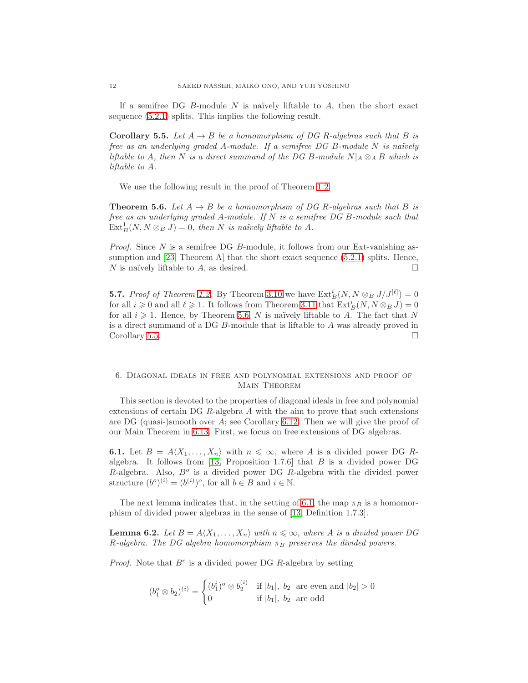If a semifree DG B-module N is naïvely liftable to  $A$ , then the short exact sequence [\(5.2.1\)](#page-10-2) splits. This implies the following result.

<span id="page-11-3"></span>**Corollary 5.5.** Let  $A \rightarrow B$  be a homomorphism of DG R-algebras such that B is free as an underlying graded A-module. If a semifree DG B-module  $N$  is naïvely liftable to A, then N is a direct summand of the DG B-module  $N|_A \otimes_A B$  which is liftable to A.

We use the following result in the proof of Theorem [1.2.](#page-1-0)

<span id="page-11-2"></span>**Theorem 5.6.** Let  $A \rightarrow B$  be a homomorphism of DG R-algebras such that B is free as an underlying graded A-module. If N is a semifree DG B-module such that  $\text{Ext}^1_B(N, N \otimes_B J) = 0$ , then N is naïvely liftable to A.

*Proof.* Since  $N$  is a semifree DG  $B$ -module, it follows from our Ext-vanishing assumption and [\[23,](#page-18-11) Theorem A] that the short exact sequence [\(5.2.1\)](#page-10-2) splits. Hence, N is naïvely liftable to A, as desired.

<span id="page-11-1"></span>**5.7.** Proof of Theorem [1.2.](#page-1-0) By Theorem [3.10](#page-7-3) we have  $\text{Ext}_{B}^{i}(N, N \otimes_{B} J/J^{[\ell]}) = 0$ for all  $i \geqslant 0$  and all  $\ell \geqslant 1$ . It follows from Theorem [3.11](#page-8-0) that  $\mathrm{Ext}^i_B(N, N \otimes_B J) = 0$ for all  $i \geq 1$ . Hence, by Theorem [5.6,](#page-11-2) N is naïvely liftable to A. The fact that N is a direct summand of a DG B-module that is liftable to A was already proved in Corollary [5.5.](#page-11-3)

## <span id="page-11-0"></span>6. Diagonal ideals in free and polynomial extensions and proof of Main Theorem

This section is devoted to the properties of diagonal ideals in free and polynomial extensions of certain DG R-algebra A with the aim to prove that such extensions are DG (quasi-)smooth over  $A$ ; see Corollary [6.12.](#page-16-2) Then we will give the proof of our Main Theorem in [6.13.](#page-16-3) First, we focus on free extensions of DG algebras.

<span id="page-11-4"></span>**6.1.** Let  $B = A\langle X_1, \ldots, X_n \rangle$  with  $n \leq \infty$ , where A is a divided power DG R-algebra. It follows from [\[13,](#page-17-5) Proposition 1.7.6] that  $B$  is a divided power DG  $R$ -algebra. Also,  $B<sup>o</sup>$  is a divided power DG  $R$ -algebra with the divided power structure  $(b^o)^{(i)} = (b^{(i)})^o$ , for all  $b \in B$  and  $i \in \mathbb{N}$ .

The next lemma indicates that, in the setting of [6.1,](#page-11-4) the map  $\pi_B$  is a homomorphism of divided power algebras in the sense of [\[13,](#page-17-5) Definition 1.7.3].

<span id="page-11-5"></span>**Lemma 6.2.** Let  $B = A \langle X_1, \ldots, X_n \rangle$  with  $n \leq \infty$ , where A is a divided power DG R-algebra. The DG algebra homomorphism  $\pi_B$  preserves the divided powers.

*Proof.* Note that  $B^e$  is a divided power DG R-algebra by setting

$$
(b_1^o \otimes b_2)^{(i)} = \begin{cases} (b_1^i)^o \otimes b_2^{(i)} & \text{if } |b_1|, |b_2| \text{ are even and } |b_2| > 0\\ 0 & \text{if } |b_1|, |b_2| \text{ are odd} \end{cases}
$$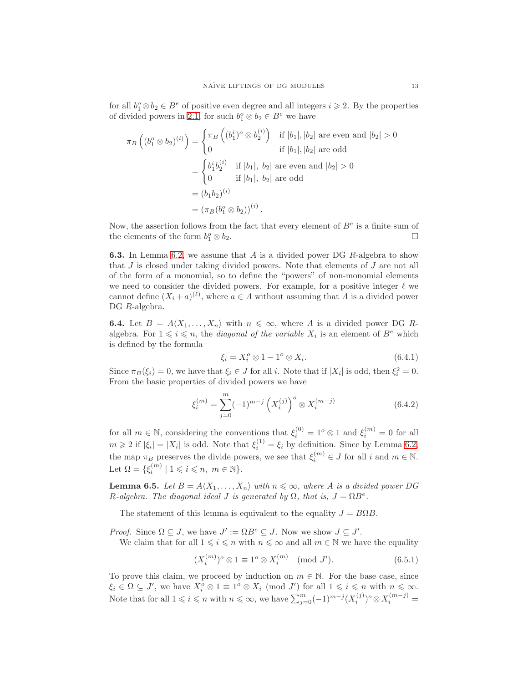for all  $b_1^o \otimes b_2 \in B^e$  of positive even degree and all integers  $i \geqslant 2$ . By the properties of divided powers in [2.1,](#page-2-4) for such  $b_1^o \otimes b_2 \in B^e$  we have

$$
\pi_B\left((b_1^o \otimes b_2)^{(i)}\right) = \begin{cases}\n\pi_B\left((b_1^i)^o \otimes b_2^{(i)}\right) & \text{if } |b_1|, |b_2| \text{ are even and } |b_2| > 0 \\
0 & \text{if } |b_1|, |b_2| \text{ are odd} \\
\end{cases}
$$
\n
$$
= \begin{cases}\n b_1^i b_2^{(i)} & \text{if } |b_1|, |b_2| \text{ are even and } |b_2| > 0 \\
0 & \text{if } |b_1|, |b_2| \text{ are odd} \\
\end{cases}
$$
\n
$$
= (b_1 b_2)^{(i)}
$$
\n
$$
= (\pi_B(b_1^o \otimes b_2))^{(i)}.
$$

Now, the assertion follows from the fact that every element of  $B<sup>e</sup>$  is a finite sum of the elements of the form  $b_1^o$  $\frac{1}{1} \otimes b_2.$ 

**6.3.** In Lemma [6.2,](#page-11-5) we assume that  $A$  is a divided power DG  $R$ -algebra to show that J is closed under taking divided powers. Note that elements of J are not all of the form of a monomial, so to define the "powers" of non-monomial elements we need to consider the divided powers. For example, for a positive integer  $\ell$  we cannot define  $(X_i + a)^{(\ell)}$ , where  $a \in A$  without assuming that A is a divided power DG R-algebra.

<span id="page-12-4"></span>**6.4.** Let  $B = A \langle X_1, \ldots, X_n \rangle$  with  $n \leq \infty$ , where A is a divided power DG Ralgebra. For  $1 \leq i \leq n$ , the *diagonal of the variable*  $X_i$  is an element of  $B^e$  which is defined by the formula

<span id="page-12-3"></span>
$$
\xi_i = X_i^o \otimes 1 - 1^o \otimes X_i. \tag{6.4.1}
$$

Since  $\pi_B(\xi_i) = 0$ , we have that  $\xi_i \in J$  for all i. Note that if  $|X_i|$  is odd, then  $\xi_i^2 = 0$ . From the basic properties of divided powers we have

<span id="page-12-1"></span>
$$
\xi_i^{(m)} = \sum_{j=0}^m (-1)^{m-j} \left( X_i^{(j)} \right)^o \otimes X_i^{(m-j)} \tag{6.4.2}
$$

for all  $m \in \mathbb{N}$ , considering the conventions that  $\xi_i^{(0)} = 1^o \otimes 1$  and  $\xi_i^{(m)} = 0$  for all  $m \geq 2$  if  $|\xi_i| = |X_i|$  is odd. Note that  $\xi_i^{(1)} = \xi_i$  by definition. Since by Lemma [6.2,](#page-11-5) the map  $\pi_B$  preserves the divide powers, we see that  $\xi_i^{(m)} \in J$  for all i and  $m \in \mathbb{N}$ . Let  $\Omega = \{ \xi_i^{(m)} \mid 1 \leqslant i \leqslant n, \ m \in \mathbb{N} \}.$ 

<span id="page-12-2"></span>**Lemma 6.5.** Let  $B = A \langle X_1, \ldots, X_n \rangle$  with  $n \leq \infty$ , where A is a divided power DG R-algebra. The diagonal ideal J is generated by  $\Omega$ , that is,  $J = \Omega B^e$ .

The statement of this lemma is equivalent to the equality  $J = B\Omega B$ .

*Proof.* Since  $\Omega \subseteq J$ , we have  $J' := \Omega B^e \subseteq J$ . Now we show  $J \subseteq J'$ .

We claim that for all  $1 \leq i \leq n$  with  $n \leq \infty$  and all  $m \in \mathbb{N}$  we have the equality

<span id="page-12-0"></span>
$$
(X_i^{(m)})^o \otimes 1 \equiv 1^o \otimes X_i^{(m)} \pmod{J'}.
$$
 (6.5.1)

To prove this claim, we proceed by induction on  $m \in \mathbb{N}$ . For the base case, since  $\xi_i \in \Omega \subseteq J'$ , we have  $X_i^o \otimes 1 \equiv 1^o \otimes X_i \pmod{J'}$  for all  $1 \leq i \leq n$  with  $n \leq \infty$ . Note that for all  $1 \leq i \leq n$  with  $n \leq \infty$ , we have  $\sum_{j=0}^{m} (-1)^{m-j} (X_i^{(j)})$  $(X_i^{(j)})^o \otimes X_i^{(m-j)} =$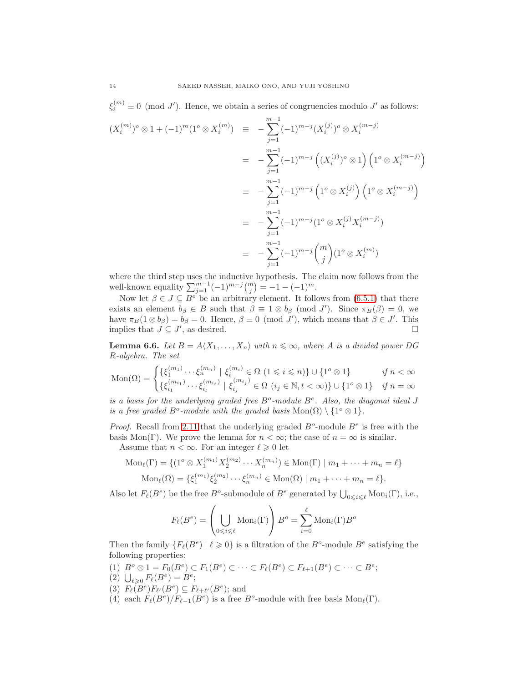$\xi_i^{(m)} \equiv 0 \pmod{J'}$ . Hence, we obtain a series of congruencies modulo  $J'$  as follows:

$$
(X_i^{(m)})^o \otimes 1 + (-1)^m (1^o \otimes X_i^{(m)}) \equiv -\sum_{j=1}^{m-1} (-1)^{m-j} (X_i^{(j)})^o \otimes X_i^{(m-j)}
$$
  

$$
= -\sum_{j=1}^{m-1} (-1)^{m-j} ((X_i^{(j)})^o \otimes 1) (1^o \otimes X_i^{(m-j)})
$$
  

$$
\equiv -\sum_{j=1}^{m-1} (-1)^{m-j} (1^o \otimes X_i^{(j)}) (1^o \otimes X_i^{(m-j)})
$$
  

$$
\equiv -\sum_{j=1}^{m-1} (-1)^{m-j} (1^o \otimes X_i^{(j)} X_i^{(m-j)})
$$
  

$$
\equiv -\sum_{j=1}^{m-1} (-1)^{m-j} {m \choose j} (1^o \otimes X_i^{(m)})
$$

where the third step uses the inductive hypothesis. The claim now follows from the well-known equality  $\sum_{j=1}^{m-1} (-1)^{m-j} {m \choose j} = -1 - (-1)^m$ .

Now let  $\beta \in J \subseteq B^e$  be an arbitrary element. It follows from [\(6.5.1\)](#page-12-0) that there exists an element  $b_{\beta} \in B$  such that  $\beta \equiv 1 \otimes b_{\beta} \pmod{J'}$ . Since  $\pi_B(\beta) = 0$ , we have  $\pi_B(1 \otimes b_\beta) = b_\beta = 0$ . Hence,  $\beta \equiv 0 \pmod{J'}$ , which means that  $\beta \in J'$ . This implies that  $J \subseteq J'$ , as desired.

<span id="page-13-0"></span>**Lemma 6.6.** Let  $B = A \langle X_1, \ldots, X_n \rangle$  with  $n \leq \infty$ , where A is a divided power DG R-algebra. The set

$$
\text{Mon}(\Omega) = \begin{cases} \{\xi_1^{(m_1)} \cdots \xi_n^{(m_n)} \mid \xi_i^{(m_i)} \in \Omega \ (1 \leq i \leq n) \} \cup \{1^o \otimes 1\} & \text{if } n < \infty \\ \{\xi_{i_1}^{(m_{i_1})} \cdots \xi_{i_t}^{(m_{i_t})} \mid \xi_{i_j}^{(m_{i_j})} \in \Omega \ (i_j \in \mathbb{N}, t < \infty) \} \cup \{1^o \otimes 1\} & \text{if } n = \infty \end{cases}
$$

is a basis for the underlying graded free  $B^o$ -module  $B^e$ . Also, the diagonal ideal J is a free graded  $B^o$ -module with the graded basis  $Mon(\Omega) \setminus \{1^o \otimes 1\}.$ 

*Proof.* Recall from [2.11](#page-5-5) that the underlying graded  $B^o$ -module  $B^e$  is free with the basis Mon(Γ). We prove the lemma for  $n < \infty$ ; the case of  $n = \infty$  is similar. Assume that  $n < \infty$ . For an integer  $\ell \geq 0$  let

$$
\text{Mon}_{\ell}(\Gamma) = \{ (1^o \otimes X_1^{(m_1)} X_2^{(m_2)} \cdots X_n^{(m_n)}) \in \text{Mon}(\Gamma) \mid m_1 + \cdots + m_n = \ell \}
$$

$$
\text{Mon}_{\ell}(\Omega) = \{ \xi_1^{(m_1)} \xi_2^{(m_2)} \cdots \xi_n^{(m_n)} \in \text{Mon}(\Omega) \mid m_1 + \cdots + m_n = \ell \}.
$$

Also let  $F_{\ell}(B^e)$  be the free  $B^o$ -submodule of  $B^e$  generated by  $\bigcup_{0 \leq i \leq \ell} \text{Mon}_i(\Gamma)$ , i.e.,

$$
F_{\ell}(B^e) = \left(\bigcup_{0 \le i \le \ell} \text{Mon}_i(\Gamma)\right) B^o = \sum_{i=0}^{\ell} \text{Mon}_i(\Gamma) B^o
$$

Then the family  $\{F_{\ell}(B^e) | \ell \geq 0\}$  is a filtration of the  $B^o$ -module  $B^e$  satisfying the following properties:

- (1)  $B^o \otimes 1 = F_0(B^e) \subset F_1(B^e) \subset \cdots \subset F_\ell(B^e) \subset F_{\ell+1}(B^e) \subset \cdots \subset B^e;$
- (2)  $\bigcup_{\ell \geq 0} F_{\ell}(B^e) = B^e;$
- (3)  $F_{\ell}(B^e)F_{\ell'}(B^e) \subseteq F_{\ell+\ell'}(B^e)$ ; and
- (4) each  $F_{\ell}(B^e)/F_{\ell-1}(B^e)$  is a free  $B^o$ -module with free basis  $\text{Mon}_{\ell}(\Gamma)$ .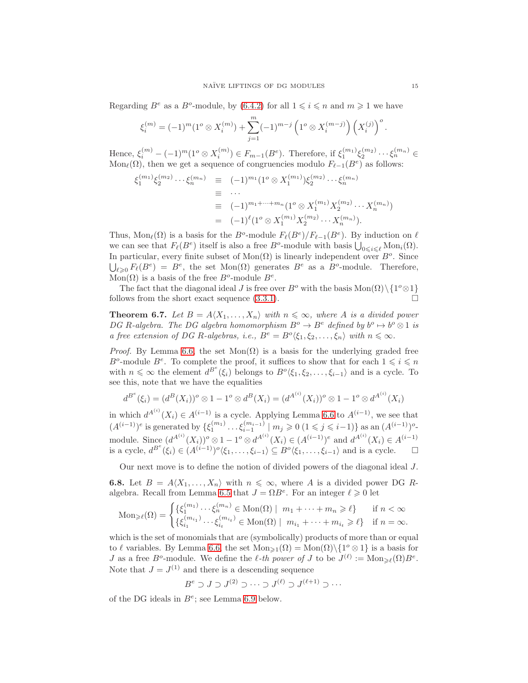Regarding  $B^e$  as a  $B^o$ -module, by [\(6.4.2\)](#page-12-1) for all  $1 \leq i \leq n$  and  $m \geq 1$  we have

$$
\xi_i^{(m)} = (-1)^m (1^o \otimes X_i^{(m)}) + \sum_{j=1}^m (-1)^{m-j} \left(1^o \otimes X_i^{(m-j)}\right) \left(X_i^{(j)}\right)^o.
$$

Hence,  $\xi_i^{(m)} - (-1)^m (1^o \otimes X_i^{(m)}) \in F_{m-1}(B^e)$ . Therefore, if  $\xi_1^{(m_1)} \xi_2^{(m_2)} \cdots \xi_n^{(m_n)} \in$ Mon<sub>ℓ</sub>( $\Omega$ ), then we get a sequence of congruencies modulo  $F_{\ell-1}(B^e)$  as follows:

$$
\xi_1^{(m_1)} \xi_2^{(m_2)} \cdots \xi_n^{(m_n)} \equiv (-1)^{m_1} (1^o \otimes X_1^{(m_1)}) \xi_2^{(m_2)} \cdots \xi_n^{(m_n)}
$$
  
\n
$$
\equiv \cdots
$$
  
\n
$$
\equiv (-1)^{m_1 + \cdots + m_n} (1^o \otimes X_1^{(m_1)} X_2^{(m_2)} \cdots X_n^{(m_n)})
$$
  
\n
$$
= (-1)^{\ell} (1^o \otimes X_1^{(m_1)} X_2^{(m_2)} \cdots X_n^{(m_n)}).
$$

Thus,  $\text{Mon}_{\ell}(\Omega)$  is a basis for the  $B^o$ -module  $F_{\ell}(B^e)/F_{\ell-1}(B^e)$ . By induction on  $\ell$ we can see that  $F_{\ell}(B^e)$  itself is also a free  $B^o$ -module with basis  $\bigcup_{0 \leq i \leq \ell} \text{Mon}_i(\Omega)$ . In particular, every finite subset of  $Mon(\Omega)$  is linearly independent over  $B^o$ . Since  $\bigcup_{\ell \geqslant 0} F_{\ell}(B^e) = B^e$ , the set  $Mon(\Omega)$  generates  $B^e$  as a  $B^o$ -module. Therefore, Mon( $\Omega$ ) is a basis of the free  $B^o$ -module  $B^e$ .

The fact that the diagonal ideal J is free over  $B^o$  with the basis Mon $(\Omega) \setminus \{1^o \otimes 1\}$ follows from the short exact sequence  $(3.3.1)$ .

<span id="page-14-0"></span>**Theorem 6.7.** Let  $B = A \langle X_1, \ldots, X_n \rangle$  with  $n \leq \infty$ , where A is a divided power DG R-algebra. The DG algebra homomorphism  $B^o \to B^e$  defined by  $b^o \mapsto b^o \otimes 1$  is a free extension of DG R-algebras, i.e.,  $B^e = B^o \langle \xi_1, \xi_2, \ldots, \xi_n \rangle$  with  $n \leq \infty$ .

*Proof.* By Lemma [6.6,](#page-13-0) the set  $Mon(\Omega)$  is a basis for the underlying graded free  $B^o$ -module  $B^e$ . To complete the proof, it suffices to show that for each  $1 \leqslant i \leqslant n$ with  $n \leq \infty$  the element  $d^{B^e}(\xi_i)$  belongs to  $B^o \langle \xi_1, \xi_2, \ldots, \xi_{i-1} \rangle$  and is a cycle. To see this, note that we have the equalities

$$
d^{B^e}(\xi_i) = (d^B(X_i))^o \otimes 1 - 1^o \otimes d^B(X_i) = (d^{A^{(i)}}(X_i))^o \otimes 1 - 1^o \otimes d^{A^{(i)}}(X_i)
$$

in which  $d^{A^{(i)}}(X_i) \in A^{(i-1)}$  is a cycle. Applying Lemma [6.6](#page-13-0) to  $A^{(i-1)}$ , we see that  $(A^{(i-1)})^e$  is generated by  $\{\xi_1^{(m_1)}\dots\xi_{i-1}^{(m_{i-1})} \mid m_j \geq 0 \ (1 \leq j \leq i-1)\}\$  as an  $(A^{(i-1)})^o$ module. Since  $(d^{A^{(i)}}(X_i))^o \otimes 1 - 1^o \otimes d^{A^{(i)}}(X_i) \in (A^{(i-1)})^e$  and  $d^{A^{(i)}}(X_i) \in A^{(i-1)}$ is a cycle,  $d^{B^e}(\xi_i) \in (A^{(i-1)})^o \langle \xi_1, \ldots, \xi_{i-1} \rangle \subseteq B^o \langle \xi_1, \ldots, \xi_{i-1} \rangle$  and is a cycle.  $\square$ 

Our next move is to define the notion of divided powers of the diagonal ideal J.

<span id="page-14-1"></span>**6.8.** Let  $B = A \langle X_1, \ldots, X_n \rangle$  with  $n \leq \infty$ , where A is a divided power DG R-algebra. Recall from Lemma [6.5](#page-12-2) that  $J = \Omega B^e$ . For an integer  $\ell \geq 0$  let

$$
\operatorname{Mon}_{\geq \ell}(\Omega) = \begin{cases} \{\xi_1^{(m_1)} \cdots \xi_n^{(m_n)} \in \operatorname{Mon}(\Omega) \mid m_1 + \cdots + m_n \geq \ell\} & \text{if } n < \infty \\ \{\xi_{i_1}^{(m_{i_1})} \cdots \xi_{i_t}^{(m_{i_t})} \in \operatorname{Mon}(\Omega) \mid m_{i_1} + \cdots + m_{i_t} \geq \ell\} & \text{if } n = \infty. \end{cases}
$$

which is the set of monomials that are (symbolically) products of more than or equal to  $\ell$  variables. By Lemma [6.6,](#page-13-0) the set  $Mon_{\geq 1}(\Omega) = Mon(\Omega)\setminus\{1^o\otimes 1\}$  is a basis for *J* as a free *B*<sup>o</sup>-module. We define the *l*-th power of *J* to be  $J^{(\ell)} := \text{Mon}_{\geq \ell}(\Omega)B^e$ . Note that  $J = J^{(1)}$  and there is a descending sequence

$$
B^e \supset J \supset J^{(2)} \supset \cdots \supset J^{(\ell)} \supset J^{(\ell+1)} \supset \cdots
$$

of the DG ideals in  $B^e$ ; see Lemma [6.9](#page-15-0) below.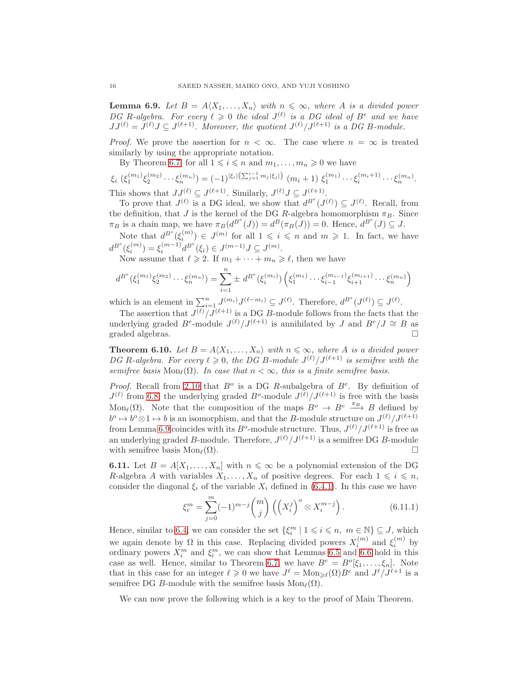<span id="page-15-0"></span>**Lemma 6.9.** Let  $B = A \langle X_1, \ldots, X_n \rangle$  with  $n \leq \infty$ , where A is a divided power DG R-algebra. For every  $\ell \geqslant 0$  the ideal  $J^{(\ell)}$  is a DG ideal of  $B^e$  and we have  $JJ^{(\ell)} = J^{(\ell)}J \subseteq J^{(\ell+1)}$ . Moreover, the quotient  $J^{(\ell)}/J^{(\ell+1)}$  is a DG B-module.

*Proof.* We prove the assertion for  $n < \infty$ . The case where  $n = \infty$  is treated similarly by using the appropriate notation.

By Theorem [6.7,](#page-14-0) for all  $1 \leq i \leq n$  and  $m_1, \ldots, m_n \geq 0$  we have

$$
\xi_i\left(\xi_1^{(m_1)}\xi_2^{(m_2)}\cdots\xi_n^{(m_n)}\right) = (-1)^{|\xi_i| \left(\sum_{j=1}^{i-1} m_j|\xi_j|\right)} \left(m_i+1\right) \xi_1^{(m_1)}\cdots\xi_i^{(m_i+1)}\cdots\xi_n^{(m_n)}.
$$

This shows that  $JJ^{(\ell)} \subseteq J^{(\ell+1)}$ . Similarly,  $J^{(\ell)}J \subseteq J^{(\ell+1)}$ .

To prove that  $J^{(\ell)}$  is a DG ideal, we show that  $d^{B^e}(J^{(\ell)}) \subseteq J^{(\ell)}$ . Recall, from the definition, that J is the kernel of the DG R-algebra homomorphism  $\pi_B$ . Since  $\pi_B$  is a chain map, we have  $\pi_B(d^{B^e}(J)) = d^B(\pi_B(J)) = 0$ . Hence,  $d^{B^e}(J) \subseteq J$ .

Note that  $d^{B^e}(\xi_i^{(m)})$  $\binom{m}{i} \in J^{(m)}$  for all  $1 \leqslant i \leqslant n$  and  $m \geqslant 1$ . In fact, we have  $d^{B^e}(\xi_i^{(m)}$  $\binom{m}{i} = \xi_i^{(m-1)}$  $i^{(m-1)} d^{B^e}(\xi_i) \in J^{(m-1)} J \subseteq J^{(m)}$ .

Now assume that  $\ell \geq 2$ . If  $m_1 + \cdots + m_n \geq \ell$ , then we have

$$
d^{B^e}(\xi_1^{(m_1)}\xi_2^{(m_2)}\cdots\xi_n^{(m_n)}) = \sum_{i=1}^n \pm d^{B^e}(\xi_i^{(m_i)})\left(\xi_1^{(m_1)}\cdots\xi_{i-1}^{(m_{i-1})}\xi_{i+1}^{(m_{i+1})}\cdots\xi_n^{(m_n)}\right)
$$

which is an element in  $\sum_{i=1}^n J^{(m_i)} J^{(\ell-m_i)} \subseteq J^{(\ell)}$ . Therefore,  $d^{B^e}(J^{(\ell)}) \subseteq J^{(\ell)}$ .

The assertion that  $J^{(\ell)}/J^{(\ell+1)}$  is a DG B-module follows from the facts that the underlying graded  $B^e$ -module  $J^{(\ell)}/J^{(\ell+1)}$  is annihilated by J and  $B^e/J \cong B$  as graded algebras.

<span id="page-15-1"></span>**Theorem 6.10.** Let  $B = A \langle X_1, \ldots, X_n \rangle$  with  $n \leq \infty$ , where A is a divided power DG R-algebra. For every  $\ell \geqslant 0$ , the DG B-module  $J^{(\ell)}/J^{(\ell+1)}$  is semifree with the semifree basis Mon<sub>ℓ</sub>( $\Omega$ ). In case that  $n < \infty$ , this is a finite semifree basis.

Proof. Recall from [2.10](#page-4-1) that  $B^o$  is a DG R-subalgebra of  $B^e$ . By definition of  $J^{(\ell)}$  from [6.8,](#page-14-1) the underlying graded  $B^o$ -module  $J^{(\ell)}/J^{(\ell+1)}$  is free with the basis Mon<sub>ℓ</sub>( $\Omega$ ). Note that the composition of the maps  $B^o \to B^e \stackrel{\pi_B}{\longrightarrow} B$  defined by  $b^o \mapsto b^o \otimes 1 \mapsto b$  is an isomorphism, and that the B-module structure on  $J^{(\ell)}/J^{(\ell+1)}$ from Lemma [6.9](#page-15-0) coincides with its  $B^o$ -module structure. Thus,  $J^{(\ell)}/J^{(\ell+1)}$  is free as an underlying graded B-module. Therefore,  $J^{(\ell)}/J^{(\ell+1)}$  is a semifree DG B-module with semifree basis  $\text{Mon}_{\ell}(\Omega)$ .

<span id="page-15-2"></span>**6.11.** Let  $B = A[X_1, \ldots, X_n]$  with  $n \leq \infty$  be a polynomial extension of the DG R-algebra A with variables  $X_1, \ldots, X_n$  of positive degrees. For each  $1 \leq i \leq n$ , consider the diagonal  $\xi_i$  of the variable  $X_i$  defined in [\(6.4.1\)](#page-12-3). In this case we have

$$
\xi_i^m = \sum_{j=0}^m (-1)^{m-j} \binom{m}{j} \left( \left( X_i^j \right)^o \otimes X_i^{m-j} \right). \tag{6.11.1}
$$

Hence, similar to [6.4,](#page-12-4) we can consider the set  $\{\xi_i^m \mid 1 \leq i \leq n, m \in \mathbb{N}\} \subseteq J$ , which we again denote by  $\Omega$  in this case. Replacing divided powers  $X_i^{(m)}$  and  $\xi_i^{(m)}$  by ordinary powers  $X_i^m$  and  $\xi_i^m$ , we can show that Lemmas [6.5](#page-12-2) and [6.6](#page-13-0) hold in this case as well. Hence, similar to Theorem [6.7,](#page-14-0) we have  $B^e = B^o[\xi_1, \dots, \xi_n]$ . Note that in this case for an integer  $\ell \geq 0$  we have  $J^{\ell} = \text{Mon}_{\geq \ell}(\Omega)B^e$  and  $J^{\ell}/J^{\ell+1}$  is a semifree DG B-module with the semifree basis  $\text{Mon}_{\ell}(\Omega)$ .

We can now prove the following which is a key to the proof of Main Theorem.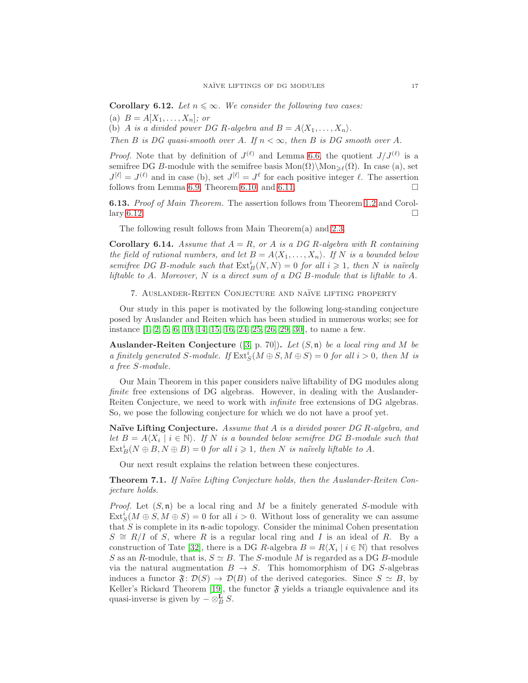<span id="page-16-2"></span>**Corollary 6.12.** Let  $n \leq \infty$ . We consider the following two cases: (a)  $B = A[X_1, ..., X_n]$ ; or

(b) A is a divided power DG R-algebra and  $B = A \langle X_1, \ldots, X_n \rangle$ .

Then B is DG quasi-smooth over A. If  $n < \infty$ , then B is DG smooth over A.

*Proof.* Note that by definition of  $J^{(\ell)}$  and Lemma [6.6,](#page-13-0) the quotient  $J/J^{(\ell)}$  is a semifree DG B-module with the semifree basis  $Mon(\Omega)\Mod_{\mathbb{R}^{\ell}}(\Omega)$ . In case (a), set  $J^{[\ell]} = J^{(\ell)}$  and in case (b), set  $J^{[\ell]} = J^{\ell}$  for each positive integer  $\ell$ . The assertion follows from Lemma [6.9,](#page-15-0) Theorem [6.10,](#page-15-1) and [6.11.](#page-15-2)

<span id="page-16-3"></span>**6.13.** Proof of Main Theorem. The assertion follows from Theorem [1.2](#page-1-0) and Corol-lary [6.12.](#page-16-2)

The following result follows from Main Theorem(a) and [2.3.](#page-2-5)

**Corollary 6.14.** Assume that  $A = R$ , or A is a DG R-algebra with R containing the field of rational numbers, and let  $B = A \langle X_1, \ldots, X_n \rangle$ . If N is a bounded below semifree DG B-module such that  $\text{Ext}_B^i(N, N) = 0$  for all  $i \geq 1$ , then N is naïvely liftable to A. Moreover, N is a direct sum of a DG B-module that is liftable to A.

<span id="page-16-0"></span>7. Auslander-Reiten Conjecture and na¨ıve lifting property

Our study in this paper is motivated by the following long-standing conjecture posed by Auslander and Reiten which has been studied in numerous works; see for instance [\[1,](#page-17-8) [2,](#page-17-1) [5,](#page-17-9) [6,](#page-17-10) [10,](#page-17-11) [14,](#page-18-12) [15,](#page-18-13) [16,](#page-18-14) [24,](#page-18-15) [25,](#page-18-16) [26,](#page-18-17) [29,](#page-18-18) [30\]](#page-18-19), to name a few.

Auslander-Reiten Conjecture  $(3, p. 70)$ . Let  $(S, n)$  be a local ring and M be a finitely generated S-module. If  $\text{Ext}^i_S(M \oplus S, M \oplus S) = 0$  for all  $i > 0$ , then M is a free S-module.

Our Main Theorem in this paper considers na¨ıve liftability of DG modules along finite free extensions of DG algebras. However, in dealing with the Auslander-Reiten Conjecture, we need to work with infinite free extensions of DG algebras. So, we pose the following conjecture for which we do not have a proof yet.

Naïve Lifting Conjecture. Assume that  $A$  is a divided power DG R-algebra, and let  $B = A\langle X_i \mid i \in \mathbb{N} \rangle$ . If N is a bounded below semifree DG B-module such that  $\text{Ext}_B^i(N \oplus B, N \oplus B) = 0$  for all  $i \geqslant 1$ , then N is naïvely liftable to A.

Our next result explains the relation between these conjectures.

<span id="page-16-1"></span>**Theorem 7.1.** If Naïve Lifting Conjecture holds, then the Auslander-Reiten Conjecture holds.

*Proof.* Let  $(S, \mathfrak{n})$  be a local ring and M be a finitely generated S-module with  $\text{Ext}_{S}^{i}(M \oplus S, M \oplus S) = 0$  for all  $i > 0$ . Without loss of generality we can assume that  $S$  is complete in its n-adic topology. Consider the minimal Cohen presentation  $S \cong R/I$  of S, where R is a regular local ring and I is an ideal of R. By a construction of Tate [\[32\]](#page-18-5), there is a DG R-algebra  $B = R\langle X_i | i \in \mathbb{N} \rangle$  that resolves S as an R-module, that is,  $S \simeq B$ . The S-module M is regarded as a DG B-module via the natural augmentation  $B \to S$ . This homomorphism of DG S-algebras induces a functor  $\mathfrak{F}: \mathcal{D}(S) \to \mathcal{D}(B)$  of the derived categories. Since  $S \simeq B$ , by Keller's Rickard Theorem [\[19\]](#page-18-20), the functor  $\mathfrak{F}$  yields a triangle equivalence and its quasi-inverse is given by  $-\otimes_B^{\mathbf{L}} S$ .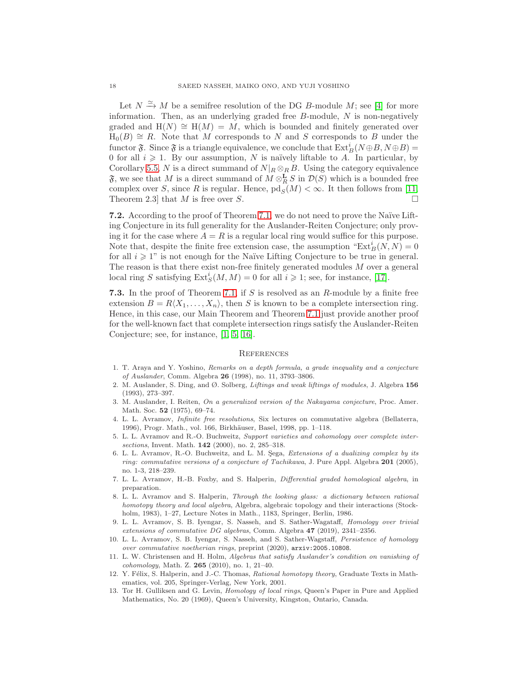Let  $N \xrightarrow{\simeq} M$  be a semifree resolution of the DG B-module M; see [\[4\]](#page-17-2) for more information. Then, as an underlying graded free  $B$ -module,  $N$  is non-negatively graded and  $H(N) \cong H(M) = M$ , which is bounded and finitely generated over  $H_0(B) \cong R$ . Note that M corresponds to N and S corresponds to B under the functor  $\mathfrak{F}$ . Since  $\mathfrak{F}$  is a triangle equivalence, we conclude that  $\mathrm{Ext}^i_B(N \oplus B, N \oplus B) =$ 0 for all  $i \geq 1$ . By our assumption, N is naïvely liftable to A. In particular, by Corollary [5.5,](#page-11-3) N is a direct summand of  $N|_R \otimes_R B$ . Using the category equivalence  $\mathfrak{F}$ , we see that M is a direct summand of  $M \otimes_R^{\mathbf{L}} S$  in  $\mathcal{D}(S)$  which is a bounded free complex over S, since R is regular. Hence,  $\text{pd}_S(M) < \infty$ . It then follows from [\[11,](#page-17-13) Theorem 2.3 that M is free over S.

7.2. According to the proof of Theorem [7.1,](#page-16-1) we do not need to prove the Naïve Lifting Conjecture in its full generality for the Auslander-Reiten Conjecture; only proving it for the case where  $A = R$  is a regular local ring would suffice for this purpose. Note that, despite the finite free extension case, the assumption " $\text{Ext}_{B}^{i}(N, N) = 0$ " for all  $i \geq 1$ " is not enough for the Naïve Lifting Conjecture to be true in general. The reason is that there exist non-free finitely generated modules M over a general local ring S satisfying  $\text{Ext}^i_S(M, M) = 0$  for all  $i \geq 1$ ; see, for instance, [\[17\]](#page-18-21).

7.3. In the proof of Theorem [7.1,](#page-16-1) if S is resolved as an  $R$ -module by a finite free extension  $B = R\langle X_1, \ldots, X_n \rangle$ , then S is known to be a complete intersection ring. Hence, in this case, our Main Theorem and Theorem [7.1](#page-16-1) just provide another proof for the well-known fact that complete intersection rings satisfy the Auslander-Reiten Conjecture; see, for instance, [\[1,](#page-17-8) [5,](#page-17-9) [16\]](#page-18-14).

#### <span id="page-17-0"></span>**REFERENCES**

- <span id="page-17-8"></span>1. T. Araya and Y. Yoshino, Remarks on a depth formula, a grade inequality and a conjecture of Auslander, Comm. Algebra 26 (1998), no. 11, 3793–3806.
- <span id="page-17-1"></span>2. M. Auslander, S. Ding, and Ø. Solberg, Liftings and weak liftings of modules, J. Algebra 156 (1993), 273–397.
- <span id="page-17-12"></span>3. M. Auslander, I. Reiten, On a generalized version of the Nakayama conjecture, Proc. Amer. Math. Soc. **52** (1975), 69-74.
- <span id="page-17-2"></span>4. L. L. Avramov, Infinite free resolutions, Six lectures on commutative algebra (Bellaterra, 1996), Progr. Math., vol. 166, Birkhäuser, Basel, 1998, pp. 1-118.
- <span id="page-17-9"></span>5. L. L. Avramov and R.-O. Buchweitz, Support varieties and cohomology over complete intersections, Invent. Math. **142** (2000), no. 2, 285-318.
- <span id="page-17-10"></span>6. L. L. Avramov, R.-O. Buchweitz, and L. M. Şega, Extensions of a dualizing complex by its ring: commutative versions of a conjecture of Tachikawa, J. Pure Appl. Algebra 201 (2005), no. 1-3, 218–239.
- <span id="page-17-3"></span>7. L. L. Avramov, H.-B. Foxby, and S. Halperin, Differential graded homological algebra, in preparation.
- <span id="page-17-6"></span>8. L. L. Avramov and S. Halperin, Through the looking glass: a dictionary between rational homotopy theory and local algebra, Algebra, algebraic topology and their interactions (Stockholm, 1983), 1–27, Lecture Notes in Math., 1183, Springer, Berlin, 1986.
- <span id="page-17-7"></span>9. L. L. Avramov, S. B. Iyengar, S. Nasseh, and S. Sather-Wagataff, Homology over trivial extensions of commutative DG algebras, Comm. Algebra  $47$  (2019), 2341-2356.
- <span id="page-17-11"></span>10. L. L. Avramov, S. B. Iyengar, S. Nasseh, and S. Sather-Wagstaff, Persistence of homology over commutative noetherian rings, preprint (2020), arxiv:2005.10808.
- <span id="page-17-13"></span>11. L. W. Christensen and H. Holm, Algebras that satisfy Auslander's condition on vanishing of cohomology, Math. Z. 265 (2010), no. 1, 21–40.
- <span id="page-17-4"></span>12. Y. Félix, S. Halperin, and J.-C. Thomas, Rational homotopy theory, Graduate Texts in Mathematics, vol. 205, Springer-Verlag, New York, 2001.
- <span id="page-17-5"></span>13. Tor H. Gulliksen and G. Levin, Homology of local rings, Queen's Paper in Pure and Applied Mathematics, No. 20 (1969), Queen's University, Kingston, Ontario, Canada.